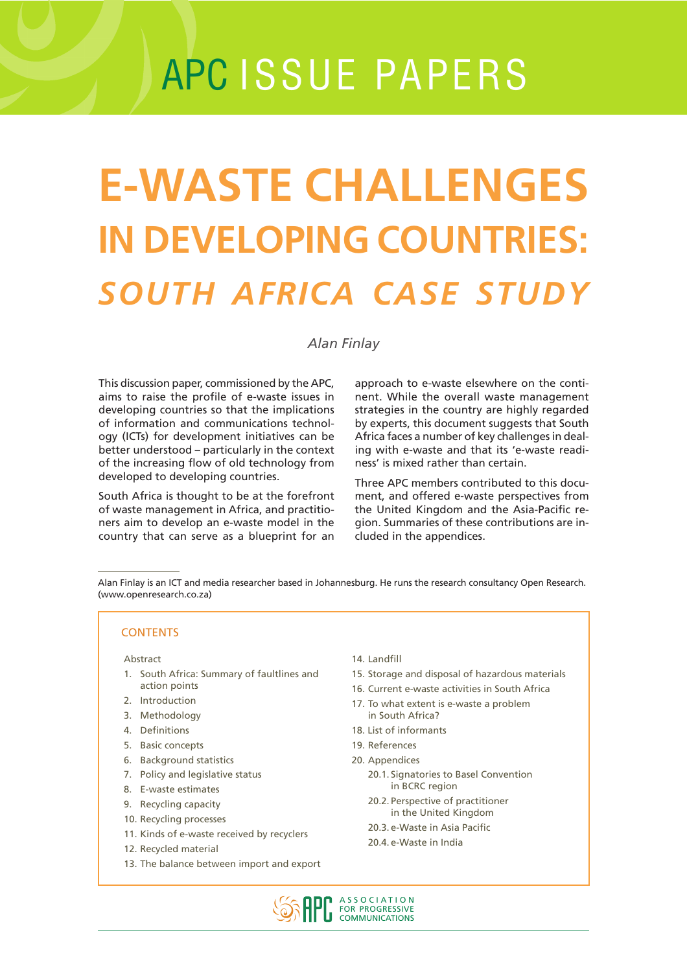# APC ISSUE PAPERS

# **E-WASTE CHALLENGES IN DEVELOPING COUNTRIES:** *SOUTH AFRICA CASE STUDY*

### *Alan Finlay*

This discussion paper, commissioned by the APC, aims to raise the profile of e-waste issues in developing countries so that the implications of information and communications technology (ICTs) for development initiatives can be better understood – particularly in the context of the increasing flow of old technology from developed to developing countries.

South Africa is thought to be at the forefront of waste management in Africa, and practitioners aim to develop an e-waste model in the country that can serve as a blueprint for an

approach to e-waste elsewhere on the continent. While the overall waste management strategies in the country are highly regarded by experts, this document suggests that South Africa faces a number of key challenges in dealing with e-waste and that its 'e-waste readiness' is mixed rather than certain.

Three APC members contributed to this document, and offered e-waste perspectives from the United Kingdom and the Asia-Pacific region. Summaries of these contributions are included in the appendices.

Alan Finlay is an ICT and media researcher based in Johannesburg. He runs the research consultancy Open Research. (www.openresearch.co.za)

#### **CONTENTS**

#### Abstract

- 1. South Africa: Summary of faultlines and action points
- 2. Introduction
- 3. Methodology
- 4. Definitions
- 5. Basic concepts
- 6. Background statistics
- 7. Policy and legislative status
- 8. E-waste estimates
- 9. Recycling capacity
- 10. Recycling processes
- 11. Kinds of e-waste received by recyclers
- 12. Recycled material
- 13. The balance between import and export
- 14. Landfill
- 15. Storage and disposal of hazardous materials
- 16. Current e-waste activities in South Africa
- 17. To what extent is e-waste a problem in South Africa?
- 18. List of informants
- 19. References
- 20. Appendices
	- 20.1. Signatories to Basel Convention in BCRC region
	- 20.2. Perspective of practitioner in the United Kingdom
	- 20.3. e-Waste in Asia Pacific
	- 20.4. e-Waste in India

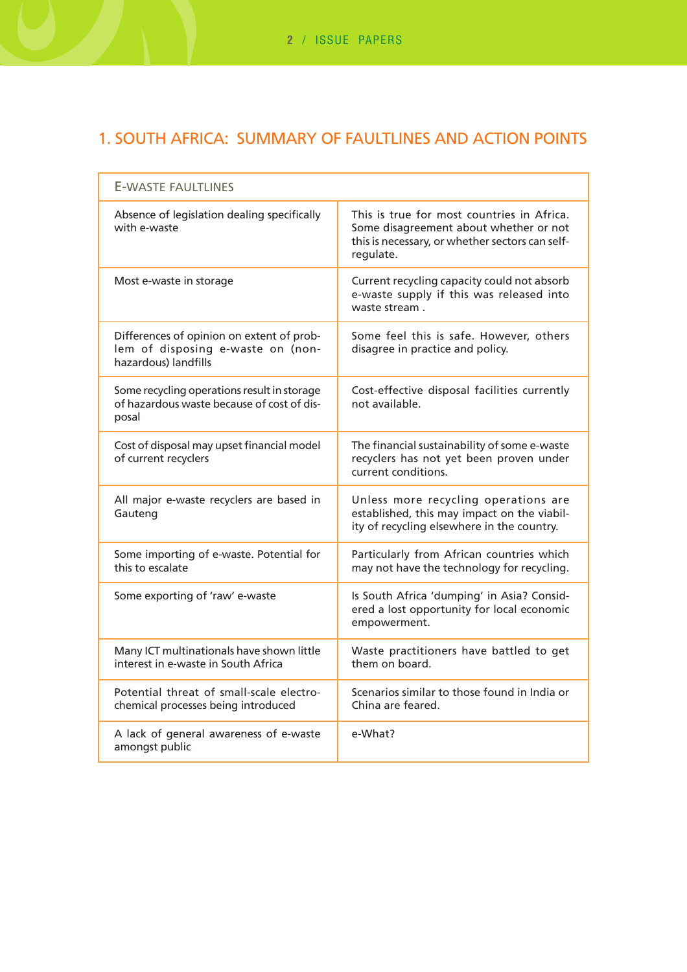# 1. SOUTH AFRICA: SUMMARY OF FAULTLINES AND ACTION POINTS

| <b>E-WASTE FAULTLINES</b>                                                                              |                                                                                                                                                      |  |  |
|--------------------------------------------------------------------------------------------------------|------------------------------------------------------------------------------------------------------------------------------------------------------|--|--|
| Absence of legislation dealing specifically<br>with e-waste                                            | This is true for most countries in Africa.<br>Some disagreement about whether or not<br>this is necessary, or whether sectors can self-<br>regulate. |  |  |
| Most e-waste in storage                                                                                | Current recycling capacity could not absorb<br>e-waste supply if this was released into<br>waste stream.                                             |  |  |
| Differences of opinion on extent of prob-<br>lem of disposing e-waste on (non-<br>hazardous) landfills | Some feel this is safe. However, others<br>disagree in practice and policy.                                                                          |  |  |
| Some recycling operations result in storage<br>of hazardous waste because of cost of dis-<br>posal     | Cost-effective disposal facilities currently<br>not available.                                                                                       |  |  |
| Cost of disposal may upset financial model<br>of current recyclers                                     | The financial sustainability of some e-waste<br>recyclers has not yet been proven under<br>current conditions.                                       |  |  |
| All major e-waste recyclers are based in<br>Gauteng                                                    | Unless more recycling operations are<br>established, this may impact on the viabil-<br>ity of recycling elsewhere in the country.                    |  |  |
| Some importing of e-waste. Potential for<br>this to escalate                                           | Particularly from African countries which<br>may not have the technology for recycling.                                                              |  |  |
| Some exporting of 'raw' e-waste                                                                        | Is South Africa 'dumping' in Asia? Consid-<br>ered a lost opportunity for local economic<br>empowerment.                                             |  |  |
| Many ICT multinationals have shown little<br>interest in e-waste in South Africa                       | Waste practitioners have battled to get<br>them on board.                                                                                            |  |  |
| Potential threat of small-scale electro-<br>chemical processes being introduced                        | Scenarios similar to those found in India or<br>China are feared.                                                                                    |  |  |
| A lack of general awareness of e-waste<br>amongst public                                               | e-What?                                                                                                                                              |  |  |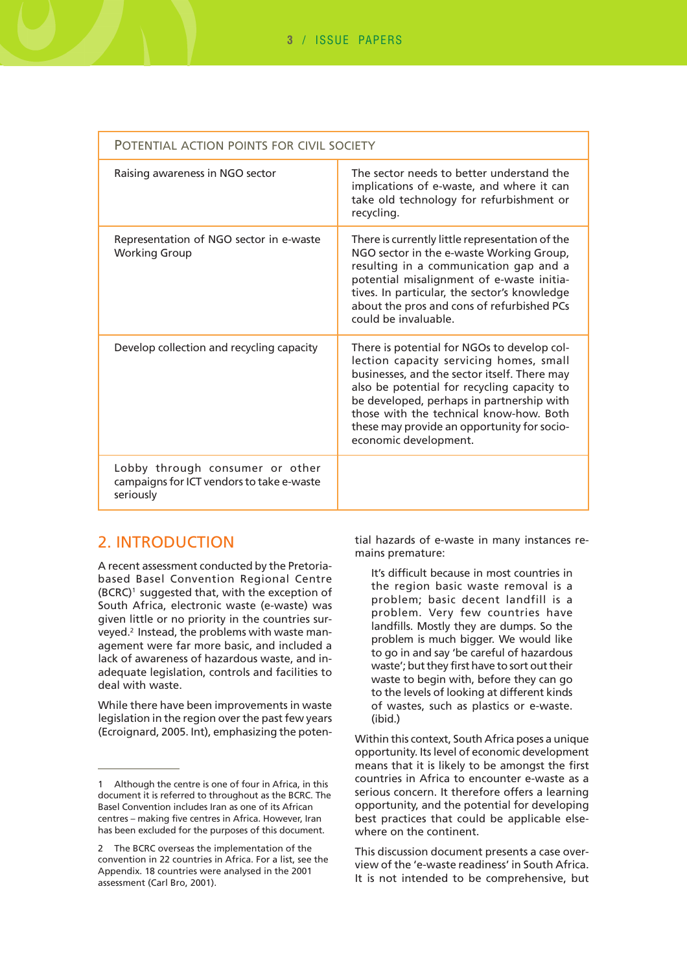| POTENTIAL ACTION POINTS FOR CIVIL SOCIETY                                                 |                                                                                                                                                                                                                                                                                                                                                       |  |  |
|-------------------------------------------------------------------------------------------|-------------------------------------------------------------------------------------------------------------------------------------------------------------------------------------------------------------------------------------------------------------------------------------------------------------------------------------------------------|--|--|
| Raising awareness in NGO sector                                                           | The sector needs to better understand the<br>implications of e-waste, and where it can<br>take old technology for refurbishment or<br>recycling.                                                                                                                                                                                                      |  |  |
| Representation of NGO sector in e-waste<br><b>Working Group</b>                           | There is currently little representation of the<br>NGO sector in the e-waste Working Group,<br>resulting in a communication gap and a<br>potential misalignment of e-waste initia-<br>tives. In particular, the sector's knowledge<br>about the pros and cons of refurbished PCs<br>could be invaluable.                                              |  |  |
| Develop collection and recycling capacity                                                 | There is potential for NGOs to develop col-<br>lection capacity servicing homes, small<br>businesses, and the sector itself. There may<br>also be potential for recycling capacity to<br>be developed, perhaps in partnership with<br>those with the technical know-how. Both<br>these may provide an opportunity for socio-<br>economic development. |  |  |
| Lobby through consumer or other<br>campaigns for ICT vendors to take e-waste<br>seriously |                                                                                                                                                                                                                                                                                                                                                       |  |  |

## 2. INTRODUCTION

A recent assessment conducted by the Pretoriabased Basel Convention Regional Centre (BCRC)1 suggested that, with the exception of South Africa, electronic waste (e-waste) was given little or no priority in the countries surveyed.2 Instead, the problems with waste management were far more basic, and included a lack of awareness of hazardous waste, and inadequate legislation, controls and facilities to deal with waste.

While there have been improvements in waste legislation in the region over the past few years (Ecroignard, 2005. Int), emphasizing the potential hazards of e-waste in many instances remains premature:

It's difficult because in most countries in the region basic waste removal is a problem; basic decent landfill is a problem. Very few countries have landfills. Mostly they are dumps. So the problem is much bigger. We would like to go in and say 'be careful of hazardous waste'; but they first have to sort out their waste to begin with, before they can go to the levels of looking at different kinds of wastes, such as plastics or e-waste. (ibid.)

Within this context, South Africa poses a unique opportunity. Its level of economic development means that it is likely to be amongst the first countries in Africa to encounter e-waste as a serious concern. It therefore offers a learning opportunity, and the potential for developing best practices that could be applicable elsewhere on the continent.

This discussion document presents a case overview of the 'e-waste readiness' in South Africa. It is not intended to be comprehensive, but

<sup>1</sup> Although the centre is one of four in Africa, in this document it is referred to throughout as the BCRC. The Basel Convention includes Iran as one of its African centres – making five centres in Africa. However, Iran has been excluded for the purposes of this document.

<sup>2</sup> The BCRC overseas the implementation of the convention in 22 countries in Africa. For a list, see the Appendix. 18 countries were analysed in the 2001 assessment (Carl Bro, 2001).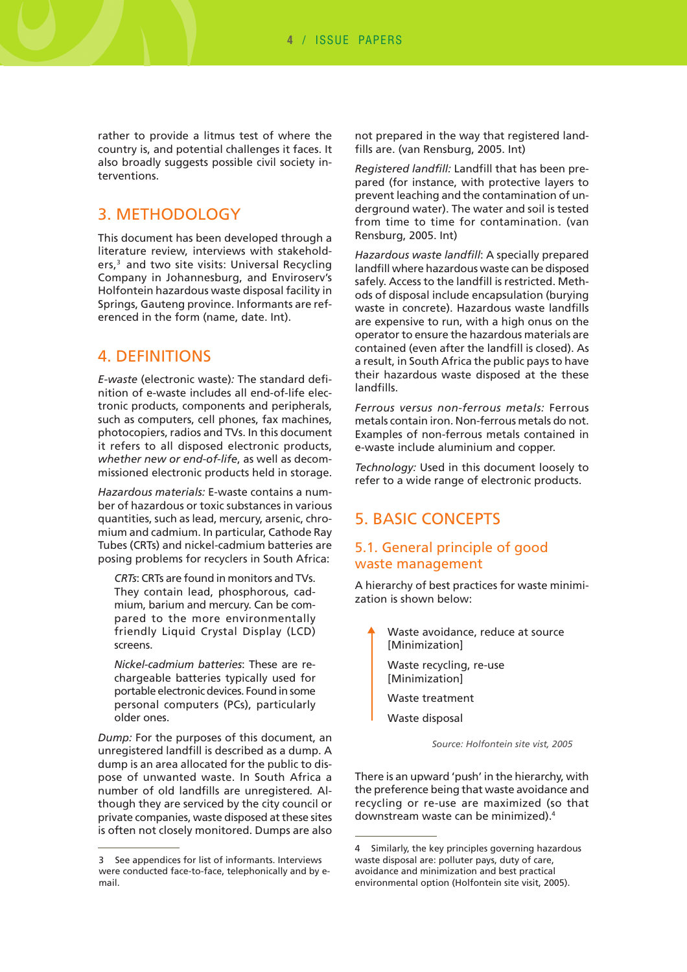rather to provide a litmus test of where the country is, and potential challenges it faces. It also broadly suggests possible civil society interventions.

## 3. METHODOLOGY

This document has been developed through a literature review, interviews with stakeholders,<sup>3</sup> and two site visits: Universal Recycling Company in Johannesburg, and Enviroserv's Holfontein hazardous waste disposal facility in Springs, Gauteng province. Informants are referenced in the form (name, date. Int).

## 4. DEFINITIONS

*E-waste* (electronic waste)*:* The standard definition of e-waste includes all end-of-life electronic products, components and peripherals, such as computers, cell phones, fax machines, photocopiers, radios and TVs. In this document it refers to all disposed electronic products, *whether new or end-of-life*, as well as decommissioned electronic products held in storage.

*Hazardous materials:* E-waste contains a number of hazardous or toxic substances in various quantities, such as lead, mercury, arsenic, chromium and cadmium. In particular, Cathode Ray Tubes (CRTs) and nickel-cadmium batteries are posing problems for recyclers in South Africa:

*CRTs*: CRTs are found in monitors and TVs. They contain lead, phosphorous, cadmium, barium and mercury. Can be compared to the more environmentally friendly Liquid Crystal Display (LCD) screens.

*Nickel-cadmium batteries*: These are rechargeable batteries typically used for portable electronic devices. Found in some personal computers (PCs), particularly older ones.

*Dump:* For the purposes of this document, an unregistered landfill is described as a dump. A dump is an area allocated for the public to dispose of unwanted waste. In South Africa a number of old landfills are unregistered*.* Although they are serviced by the city council or private companies, waste disposed at these sites is often not closely monitored. Dumps are also

not prepared in the way that registered landfills are. (van Rensburg, 2005. Int)

*Registered landfill:* Landfill that has been prepared (for instance, with protective layers to prevent leaching and the contamination of underground water). The water and soil is tested from time to time for contamination. (van Rensburg, 2005. Int)

*Hazardous waste landfill*: A specially prepared landfill where hazardous waste can be disposed safely. Access to the landfill is restricted. Methods of disposal include encapsulation (burying waste in concrete). Hazardous waste landfills are expensive to run, with a high onus on the operator to ensure the hazardous materials are contained (even after the landfill is closed). As a result, in South Africa the public pays to have their hazardous waste disposed at the these landfills.

*Ferrous versus non-ferrous metals:* Ferrous metals contain iron. Non-ferrous metals do not. Examples of non-ferrous metals contained in e-waste include aluminium and copper.

*Technology:* Used in this document loosely to refer to a wide range of electronic products.

## 5. BASIC CONCEPTS

#### 5.1. General principle of good waste management

A hierarchy of best practices for waste minimization is shown below:

- Waste avoidance, reduce at source [Minimization] Waste recycling, re-use [Minimization] Waste treatment
	- Waste disposal

 *Source: Holfontein site vist, 2005*

There is an upward 'push' in the hierarchy, with the preference being that waste avoidance and recycling or re-use are maximized (so that downstream waste can be minimized).4

<sup>3</sup> See appendices for list of informants. Interviews were conducted face-to-face, telephonically and by email.

<sup>4</sup> Similarly, the key principles governing hazardous waste disposal are: polluter pays, duty of care, avoidance and minimization and best practical environmental option (Holfontein site visit, 2005).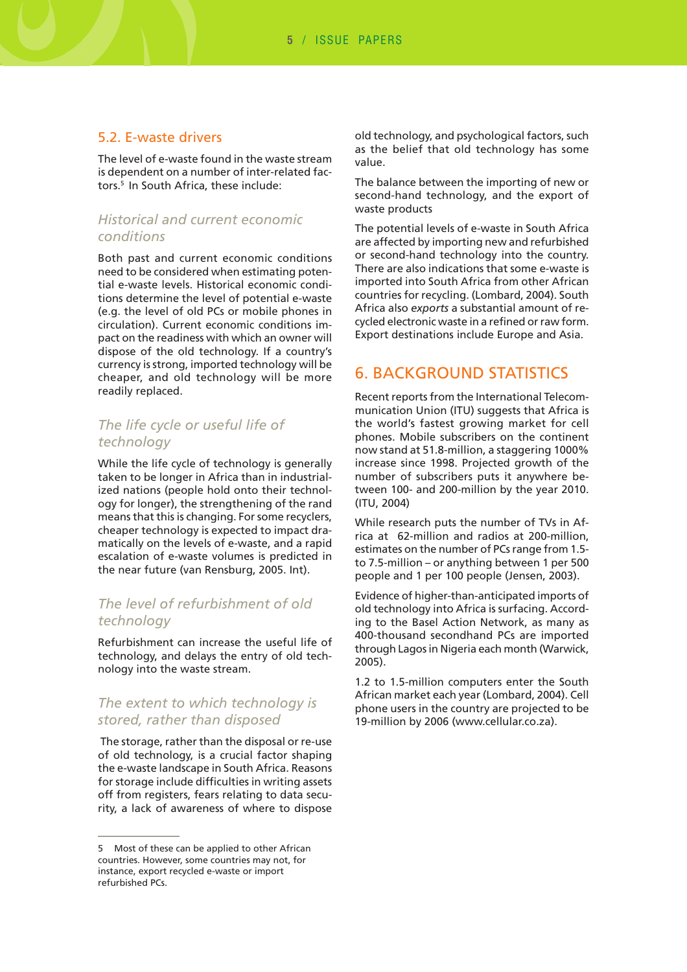## 5.2. E-waste drivers

The level of e-waste found in the waste stream is dependent on a number of inter-related factors.<sup>5</sup> In South Africa, these include:

## *Historical and current economic conditions*

Both past and current economic conditions need to be considered when estimating potential e-waste levels. Historical economic conditions determine the level of potential e-waste (e.g. the level of old PCs or mobile phones in circulation). Current economic conditions impact on the readiness with which an owner will dispose of the old technology. If a country's currency is strong, imported technology will be cheaper, and old technology will be more readily replaced.

## *The life cycle or useful life of technology*

While the life cycle of technology is generally taken to be longer in Africa than in industrialized nations (people hold onto their technology for longer), the strengthening of the rand means that this is changing. For some recyclers, cheaper technology is expected to impact dramatically on the levels of e-waste, and a rapid escalation of e-waste volumes is predicted in the near future (van Rensburg, 2005. Int).

## *The level of refurbishment of old technology*

Refurbishment can increase the useful life of technology, and delays the entry of old technology into the waste stream.

## *The extent to which technology is stored, rather than disposed*

 The storage, rather than the disposal or re-use of old technology, is a crucial factor shaping the e-waste landscape in South Africa. Reasons for storage include difficulties in writing assets off from registers, fears relating to data security, a lack of awareness of where to dispose

old technology, and psychological factors, such as the belief that old technology has some value.

The balance between the importing of new or second-hand technology, and the export of waste products

The potential levels of e-waste in South Africa are affected by importing new and refurbished or second-hand technology into the country. There are also indications that some e-waste is imported into South Africa from other African countries for recycling. (Lombard, 2004). South Africa also *exports* a substantial amount of recycled electronic waste in a refined or raw form. Export destinations include Europe and Asia.

# 6. BACKGROUND STATISTICS

Recent reports from the International Telecommunication Union (ITU) suggests that Africa is the world's fastest growing market for cell phones. Mobile subscribers on the continent now stand at 51.8-million, a staggering 1000% increase since 1998. Projected growth of the number of subscribers puts it anywhere between 100- and 200-million by the year 2010. (ITU, 2004)

While research puts the number of TVs in Africa at 62-million and radios at 200-million, estimates on the number of PCs range from 1.5 to 7.5-million – or anything between 1 per 500 people and 1 per 100 people (Jensen, 2003).

Evidence of higher-than-anticipated imports of old technology into Africa is surfacing. According to the Basel Action Network, as many as 400-thousand secondhand PCs are imported through Lagos in Nigeria each month (Warwick, 2005).

1.2 to 1.5-million computers enter the South African market each year (Lombard, 2004). Cell phone users in the country are projected to be 19-million by 2006 (www.cellular.co.za).

<sup>5</sup> Most of these can be applied to other African countries. However, some countries may not, for instance, export recycled e-waste or import refurbished PCs.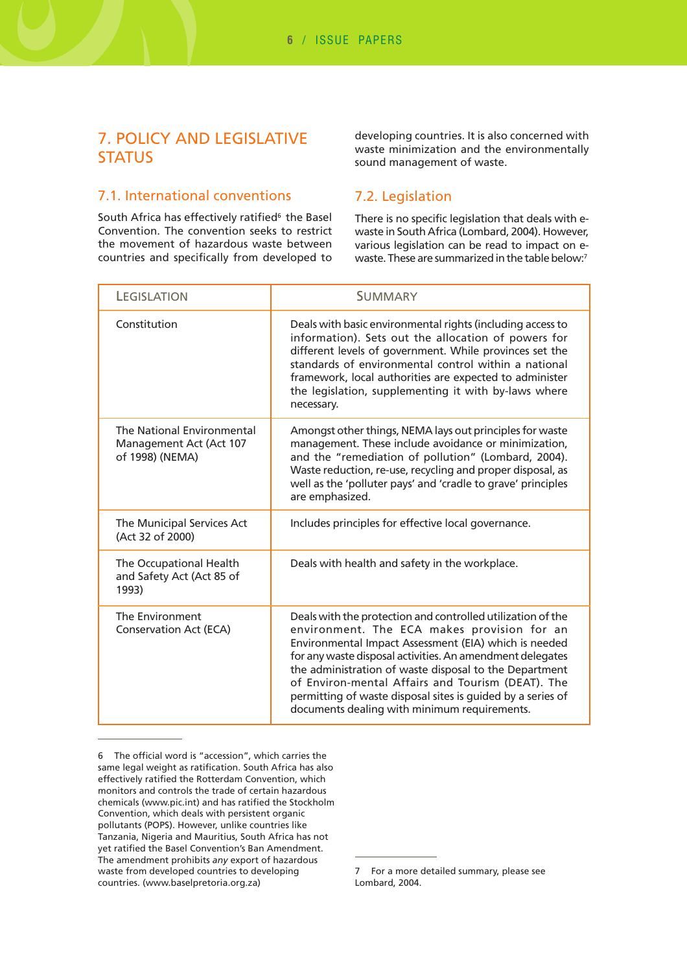# 7. POLICY AND LEGISLATIVE **STATUS**

## 7.1. International conventions

South Africa has effectively ratified<sup>6</sup> the Basel Convention. The convention seeks to restrict the movement of hazardous waste between countries and specifically from developed to

#### developing countries. It is also concerned with waste minimization and the environmentally sound management of waste.

## 7.2. Legislation

There is no specific legislation that deals with ewaste in South Africa (Lombard, 2004). However, various legislation can be read to impact on ewaste. These are summarized in the table below:<sup>7</sup>

| <b>LEGISLATION</b>                                                       | <b>SUMMARY</b>                                                                                                                                                                                                                                                                                                                                                                                                                                                 |  |
|--------------------------------------------------------------------------|----------------------------------------------------------------------------------------------------------------------------------------------------------------------------------------------------------------------------------------------------------------------------------------------------------------------------------------------------------------------------------------------------------------------------------------------------------------|--|
| Constitution                                                             | Deals with basic environmental rights (including access to<br>information). Sets out the allocation of powers for<br>different levels of government. While provinces set the<br>standards of environmental control within a national<br>framework, local authorities are expected to administer<br>the legislation, supplementing it with by-laws where<br>necessary.                                                                                          |  |
| The National Environmental<br>Management Act (Act 107<br>of 1998) (NEMA) | Amongst other things, NEMA lays out principles for waste<br>management. These include avoidance or minimization,<br>and the "remediation of pollution" (Lombard, 2004).<br>Waste reduction, re-use, recycling and proper disposal, as<br>well as the 'polluter pays' and 'cradle to grave' principles<br>are emphasized.                                                                                                                                       |  |
| The Municipal Services Act<br>(Act 32 of 2000)                           | Includes principles for effective local governance.                                                                                                                                                                                                                                                                                                                                                                                                            |  |
| The Occupational Health<br>and Safety Act (Act 85 of<br>1993)            | Deals with health and safety in the workplace.                                                                                                                                                                                                                                                                                                                                                                                                                 |  |
| The Environment<br><b>Conservation Act (ECA)</b>                         | Deals with the protection and controlled utilization of the<br>environment. The ECA makes provision for an<br>Environmental Impact Assessment (EIA) which is needed<br>for any waste disposal activities. An amendment delegates<br>the administration of waste disposal to the Department<br>of Environ-mental Affairs and Tourism (DEAT). The<br>permitting of waste disposal sites is guided by a series of<br>documents dealing with minimum requirements. |  |

<sup>6</sup> The official word is "accession", which carries the same legal weight as ratification. South Africa has also effectively ratified the Rotterdam Convention, which monitors and controls the trade of certain hazardous chemicals (www.pic.int) and has ratified the Stockholm Convention, which deals with persistent organic pollutants (POPS). However, unlike countries like Tanzania, Nigeria and Mauritius, South Africa has not yet ratified the Basel Convention's Ban Amendment. The amendment prohibits *any* export of hazardous waste from developed countries to developing countries. (www.baselpretoria.org.za)

<sup>7</sup> For a more detailed summary, please see Lombard, 2004.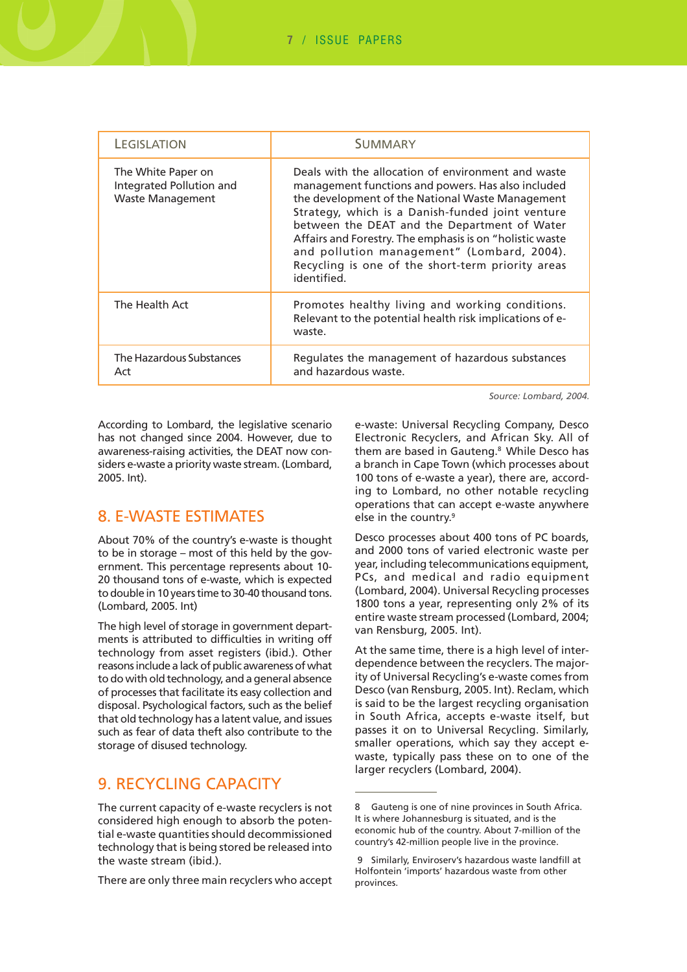| LEGISLATION                                                               | <b>SUMMARY</b>                                                                                                                                                                                                                                                                                                                                                                                                                                 |  |
|---------------------------------------------------------------------------|------------------------------------------------------------------------------------------------------------------------------------------------------------------------------------------------------------------------------------------------------------------------------------------------------------------------------------------------------------------------------------------------------------------------------------------------|--|
| The White Paper on<br>Integrated Pollution and<br><b>Waste Management</b> | Deals with the allocation of environment and waste<br>management functions and powers. Has also included<br>the development of the National Waste Management<br>Strategy, which is a Danish-funded joint venture<br>between the DEAT and the Department of Water<br>Affairs and Forestry. The emphasis is on "holistic waste<br>and pollution management" (Lombard, 2004).<br>Recycling is one of the short-term priority areas<br>identified. |  |
| The Health Act                                                            | Promotes healthy living and working conditions.<br>Relevant to the potential health risk implications of e-<br>waste.                                                                                                                                                                                                                                                                                                                          |  |
| The Hazardous Substances<br>Act                                           | Regulates the management of hazardous substances<br>and hazardous waste.                                                                                                                                                                                                                                                                                                                                                                       |  |

*Source: Lombard, 2004.*

According to Lombard, the legislative scenario has not changed since 2004. However, due to awareness-raising activities, the DEAT now considers e-waste a priority waste stream. (Lombard, 2005. Int).

## 8. E-WASTE ESTIMATES

About 70% of the country's e-waste is thought to be in storage – most of this held by the government. This percentage represents about 10- 20 thousand tons of e-waste, which is expected to double in 10 years time to 30-40 thousand tons. (Lombard, 2005. Int)

The high level of storage in government departments is attributed to difficulties in writing off technology from asset registers (ibid.). Other reasons include a lack of public awareness of what to do with old technology, and a general absence of processes that facilitate its easy collection and disposal. Psychological factors, such as the belief that old technology has a latent value, and issues such as fear of data theft also contribute to the storage of disused technology.

# 9. RECYCLING CAPACITY

The current capacity of e-waste recyclers is not considered high enough to absorb the potential e-waste quantities should decommissioned technology that is being stored be released into the waste stream (ibid.).

There are only three main recyclers who accept

e-waste: Universal Recycling Company, Desco Electronic Recyclers, and African Sky. All of them are based in Gauteng.<sup>8</sup> While Desco has a branch in Cape Town (which processes about 100 tons of e-waste a year), there are, according to Lombard, no other notable recycling operations that can accept e-waste anywhere else in the country.<sup>9</sup>

Desco processes about 400 tons of PC boards, and 2000 tons of varied electronic waste per year, including telecommunications equipment, PCs, and medical and radio equipment (Lombard, 2004). Universal Recycling processes 1800 tons a year, representing only 2% of its entire waste stream processed (Lombard, 2004; van Rensburg, 2005. Int).

At the same time, there is a high level of interdependence between the recyclers. The majority of Universal Recycling's e-waste comes from Desco (van Rensburg, 2005. Int). Reclam, which is said to be the largest recycling organisation in South Africa, accepts e-waste itself, but passes it on to Universal Recycling. Similarly, smaller operations, which say they accept ewaste, typically pass these on to one of the larger recyclers (Lombard, 2004).

<sup>8</sup> Gauteng is one of nine provinces in South Africa. It is where Johannesburg is situated, and is the economic hub of the country. About 7-million of the country's 42-million people live in the province.

 <sup>9</sup> Similarly, Enviroserv's hazardous waste landfill at Holfontein 'imports' hazardous waste from other provinces.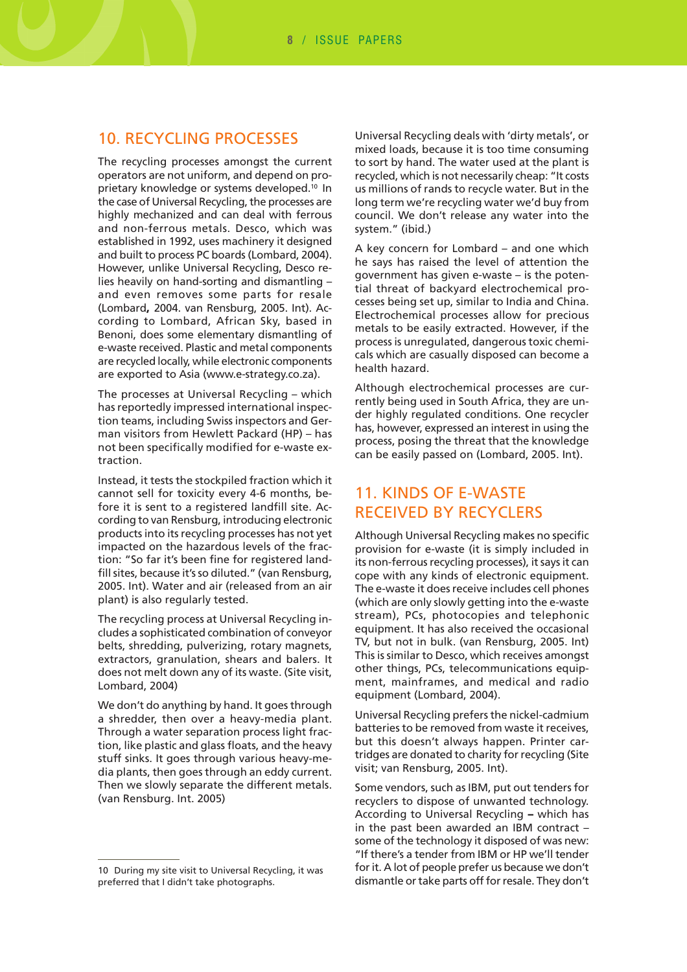## 10. RECYCLING PROCESSES

The recycling processes amongst the current operators are not uniform, and depend on proprietary knowledge or systems developed.10 In the case of Universal Recycling, the processes are highly mechanized and can deal with ferrous and non-ferrous metals. Desco, which was established in 1992, uses machinery it designed and built to process PC boards (Lombard, 2004). However, unlike Universal Recycling, Desco relies heavily on hand-sorting and dismantling – and even removes some parts for resale (Lombard**,** 2004. van Rensburg, 2005. Int). According to Lombard, African Sky, based in Benoni, does some elementary dismantling of e-waste received. Plastic and metal components are recycled locally, while electronic components are exported to Asia (www.e-strategy.co.za).

The processes at Universal Recycling – which has reportedly impressed international inspection teams, including Swiss inspectors and German visitors from Hewlett Packard (HP) – has not been specifically modified for e-waste extraction.

Instead, it tests the stockpiled fraction which it cannot sell for toxicity every 4-6 months, before it is sent to a registered landfill site. According to van Rensburg, introducing electronic products into its recycling processes has not yet impacted on the hazardous levels of the fraction: "So far it's been fine for registered landfill sites, because it's so diluted." (van Rensburg, 2005. Int). Water and air (released from an air plant) is also regularly tested.

The recycling process at Universal Recycling includes a sophisticated combination of conveyor belts, shredding, pulverizing, rotary magnets, extractors, granulation, shears and balers. It does not melt down any of its waste. (Site visit, Lombard, 2004)

We don't do anything by hand. It goes through a shredder, then over a heavy-media plant. Through a water separation process light fraction, like plastic and glass floats, and the heavy stuff sinks. It goes through various heavy-media plants, then goes through an eddy current. Then we slowly separate the different metals. (van Rensburg. Int. 2005)

Universal Recycling deals with 'dirty metals', or mixed loads, because it is too time consuming to sort by hand. The water used at the plant is recycled, which is not necessarily cheap: "It costs us millions of rands to recycle water. But in the long term we're recycling water we'd buy from council. We don't release any water into the system." (ibid.)

A key concern for Lombard – and one which he says has raised the level of attention the government has given e-waste – is the potential threat of backyard electrochemical processes being set up, similar to India and China. Electrochemical processes allow for precious metals to be easily extracted. However, if the process is unregulated, dangerous toxic chemicals which are casually disposed can become a health hazard.

Although electrochemical processes are currently being used in South Africa, they are under highly regulated conditions. One recycler has, however, expressed an interest in using the process, posing the threat that the knowledge can be easily passed on (Lombard, 2005. Int).

# 11. KINDS OF E-WASTE RECEIVED BY RECYCLERS

Although Universal Recycling makes no specific provision for e-waste (it is simply included in its non-ferrous recycling processes), it says it can cope with any kinds of electronic equipment. The e-waste it does receive includes cell phones (which are only slowly getting into the e-waste stream), PCs, photocopies and telephonic equipment. It has also received the occasional TV, but not in bulk. (van Rensburg, 2005. Int) This is similar to Desco, which receives amongst other things, PCs, telecommunications equipment, mainframes, and medical and radio equipment (Lombard, 2004).

Universal Recycling prefers the nickel-cadmium batteries to be removed from waste it receives, but this doesn't always happen. Printer cartridges are donated to charity for recycling (Site visit; van Rensburg, 2005. Int).

Some vendors, such as IBM, put out tenders for recyclers to dispose of unwanted technology. According to Universal Recycling **–** which has in the past been awarded an IBM contract – some of the technology it disposed of was new: "If there's a tender from IBM or HP we'll tender for it. A lot of people prefer us because we don't dismantle or take parts off for resale. They don't

<sup>10</sup> During my site visit to Universal Recycling, it was preferred that I didn't take photographs.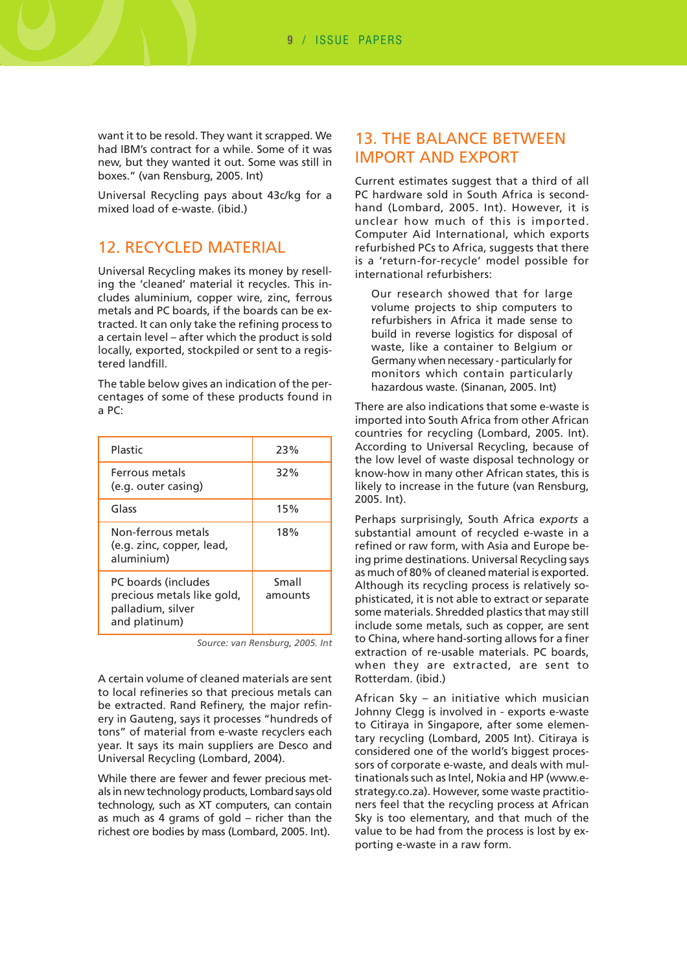want it to be resold. They want it scrapped. We had IBM's contract for a while. Some of it was new, but they wanted it out. Some was still in boxes." (van Rensburg, 2005. Int)

Universal Recycling pays about 43c/kg for a mixed load of e-waste. (ibid.)

## 12. RECYCLED MATERIAL

Universal Recycling makes its money by reselling the 'cleaned' material it recycles. This includes aluminium, copper wire, zinc, ferrous metals and PC boards, if the boards can be extracted. It can only take the refining process to a certain level – after which the product is sold locally, exported, stockpiled or sent to a registered landfill.

The table below gives an indication of the percentages of some of these products found in a PC:

| Plastic                                                                                 | 23%              |  |
|-----------------------------------------------------------------------------------------|------------------|--|
| Ferrous metals<br>(e.g. outer casing)                                                   | 32%              |  |
| Glass                                                                                   | 15%              |  |
| Non-ferrous metals<br>(e.g. zinc, copper, lead,<br>aluminium)                           | 18%              |  |
| PC boards (includes<br>precious metals like gold,<br>palladium, silver<br>and platinum) | Small<br>amounts |  |

*Source: van Rensburg, 2005. Int*

A certain volume of cleaned materials are sent to local refineries so that precious metals can be extracted. Rand Refinery, the major refinery in Gauteng, says it processes "hundreds of tons" of material from e-waste recyclers each year. It says its main suppliers are Desco and Universal Recycling (Lombard, 2004).

While there are fewer and fewer precious metals in new technology products, Lombard says old technology, such as XT computers, can contain as much as 4 grams of gold – richer than the richest ore bodies by mass (Lombard, 2005. Int).

# 13. THE BALANCE BETWEEN IMPORT AND EXPORT

Current estimates suggest that a third of all PC hardware sold in South Africa is secondhand (Lombard, 2005. Int). However, it is unclear how much of this is imported. Computer Aid International, which exports refurbished PCs to Africa, suggests that there is a 'return-for-recycle' model possible for international refurbishers:

Our research showed that for large volume projects to ship computers to refurbishers in Africa it made sense to build in reverse logistics for disposal of waste, like a container to Belgium or Germany when necessary - particularly for monitors which contain particularly hazardous waste. (Sinanan, 2005. Int)

There are also indications that some e-waste is imported into South Africa from other African countries for recycling (Lombard, 2005. Int). According to Universal Recycling, because of the low level of waste disposal technology or know-how in many other African states, this is likely to increase in the future (van Rensburg, 2005. Int).

Perhaps surprisingly, South Africa *exports* a substantial amount of recycled e-waste in a refined or raw form, with Asia and Europe being prime destinations. Universal Recycling says as much of 80% of cleaned material is exported. Although its recycling process is relatively sophisticated, it is not able to extract or separate some materials. Shredded plastics that may still include some metals, such as copper, are sent to China, where hand-sorting allows for a finer extraction of re-usable materials. PC boards, when they are extracted, are sent to Rotterdam. (ibid.)

African Sky – an initiative which musician Johnny Clegg is involved in - exports e-waste to Citiraya in Singapore, after some elementary recycling (Lombard, 2005 Int). Citiraya is considered one of the world's biggest processors of corporate e-waste, and deals with multinationals such as Intel, Nokia and HP (www.estrategy.co.za). However, some waste practitioners feel that the recycling process at African Sky is too elementary, and that much of the value to be had from the process is lost by exporting e-waste in a raw form.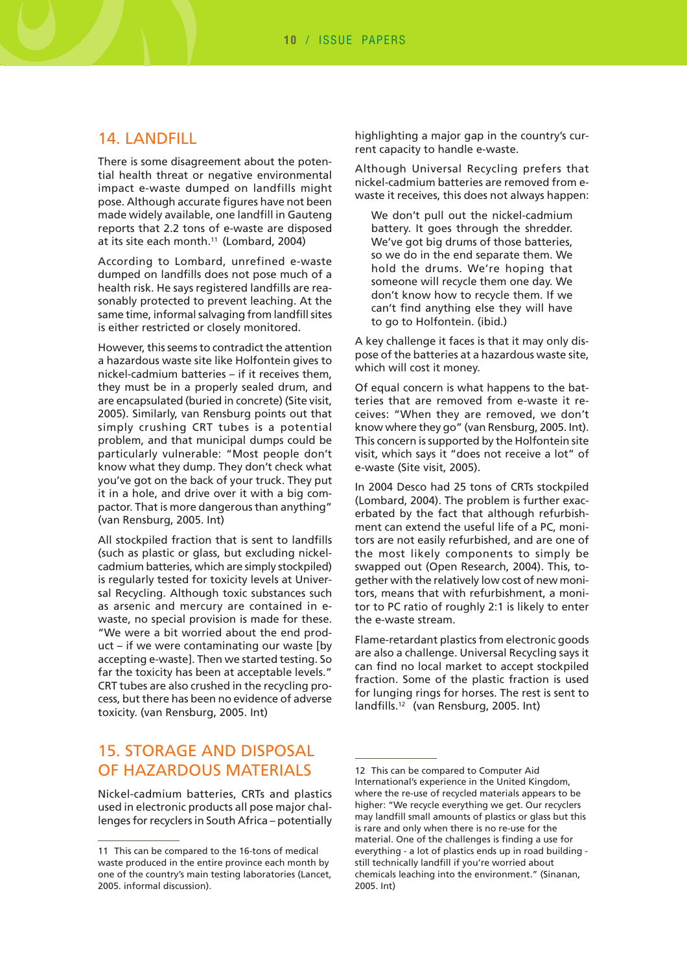## 14. LANDFILL

There is some disagreement about the potential health threat or negative environmental impact e-waste dumped on landfills might pose. Although accurate figures have not been made widely available, one landfill in Gauteng reports that 2.2 tons of e-waste are disposed at its site each month.<sup>11</sup> (Lombard, 2004)

According to Lombard, unrefined e-waste dumped on landfills does not pose much of a health risk. He says registered landfills are reasonably protected to prevent leaching. At the same time, informal salvaging from landfill sites is either restricted or closely monitored.

However, this seems to contradict the attention a hazardous waste site like Holfontein gives to nickel-cadmium batteries – if it receives them, they must be in a properly sealed drum, and are encapsulated (buried in concrete) (Site visit, 2005). Similarly, van Rensburg points out that simply crushing CRT tubes is a potential problem, and that municipal dumps could be particularly vulnerable: "Most people don't know what they dump. They don't check what you've got on the back of your truck. They put it in a hole, and drive over it with a big compactor. That is more dangerous than anything" (van Rensburg, 2005. Int)

All stockpiled fraction that is sent to landfills (such as plastic or glass, but excluding nickelcadmium batteries, which are simply stockpiled) is regularly tested for toxicity levels at Universal Recycling. Although toxic substances such as arsenic and mercury are contained in ewaste, no special provision is made for these. "We were a bit worried about the end product – if we were contaminating our waste [by accepting e-waste]. Then we started testing. So far the toxicity has been at acceptable levels." CRT tubes are also crushed in the recycling process, but there has been no evidence of adverse toxicity. (van Rensburg, 2005. Int)

# 15. STORAGE AND DISPOSAL OF HAZARDOUS MATERIALS

Nickel-cadmium batteries, CRTs and plastics used in electronic products all pose major challenges for recyclers in South Africa – potentially highlighting a major gap in the country's current capacity to handle e-waste.

Although Universal Recycling prefers that nickel-cadmium batteries are removed from ewaste it receives, this does not always happen:

We don't pull out the nickel-cadmium battery. It goes through the shredder. We've got big drums of those batteries, so we do in the end separate them. We hold the drums. We're hoping that someone will recycle them one day. We don't know how to recycle them. If we can't find anything else they will have to go to Holfontein. (ibid.)

A key challenge it faces is that it may only dispose of the batteries at a hazardous waste site, which will cost it money.

Of equal concern is what happens to the batteries that are removed from e-waste it receives: "When they are removed, we don't know where they go" (van Rensburg, 2005. Int). This concern is supported by the Holfontein site visit, which says it "does not receive a lot" of e-waste (Site visit, 2005).

In 2004 Desco had 25 tons of CRTs stockpiled (Lombard, 2004). The problem is further exacerbated by the fact that although refurbishment can extend the useful life of a PC, monitors are not easily refurbished, and are one of the most likely components to simply be swapped out (Open Research, 2004). This, together with the relatively low cost of new monitors, means that with refurbishment, a monitor to PC ratio of roughly 2:1 is likely to enter the e-waste stream.

Flame-retardant plastics from electronic goods are also a challenge. Universal Recycling says it can find no local market to accept stockpiled fraction. Some of the plastic fraction is used for lunging rings for horses. The rest is sent to landfills.12 (van Rensburg, 2005. Int)

<sup>11</sup> This can be compared to the 16-tons of medical waste produced in the entire province each month by one of the country's main testing laboratories (Lancet, 2005. informal discussion).

<sup>12</sup> This can be compared to Computer Aid International's experience in the United Kingdom, where the re-use of recycled materials appears to be higher: "We recycle everything we get. Our recyclers may landfill small amounts of plastics or glass but this is rare and only when there is no re-use for the material. One of the challenges is finding a use for everything - a lot of plastics ends up in road building still technically landfill if you're worried about chemicals leaching into the environment." (Sinanan, 2005. Int)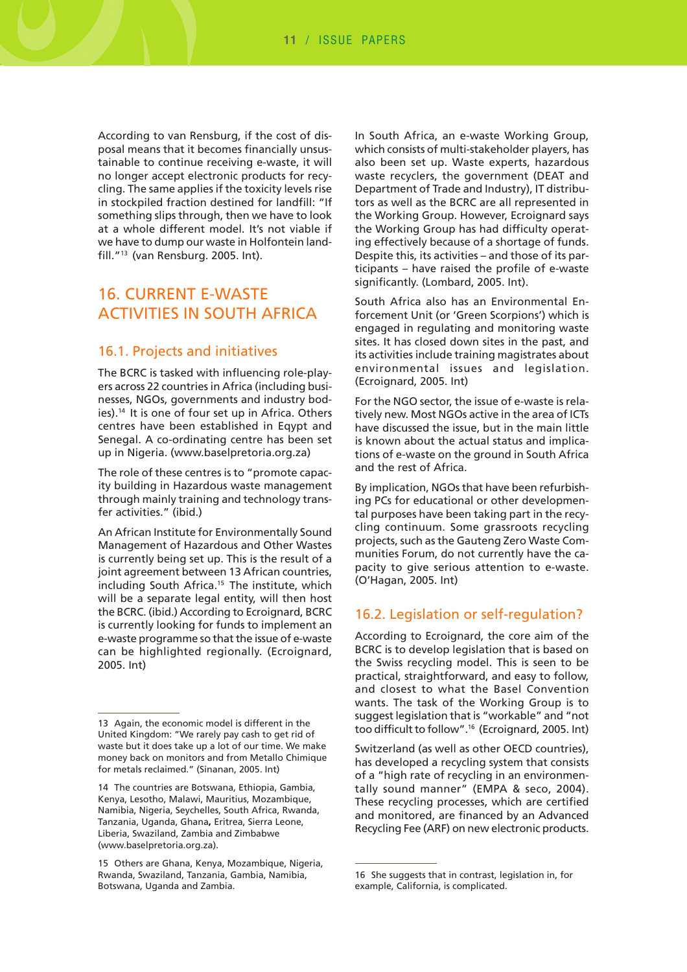According to van Rensburg, if the cost of disposal means that it becomes financially unsustainable to continue receiving e-waste, it will no longer accept electronic products for recycling. The same applies if the toxicity levels rise in stockpiled fraction destined for landfill: "If something slips through, then we have to look at a whole different model. It's not viable if we have to dump our waste in Holfontein landfill."13 (van Rensburg. 2005. Int).

# 16. CURRENT E-WASTE ACTIVITIES IN SOUTH AFRICA

#### 16.1. Projects and initiatives

The BCRC is tasked with influencing role-players across 22 countries in Africa (including businesses, NGOs, governments and industry bodies).14 It is one of four set up in Africa. Others centres have been established in Eqypt and Senegal. A co-ordinating centre has been set up in Nigeria. (www.baselpretoria.org.za)

The role of these centres is to "promote capacity building in Hazardous waste management through mainly training and technology transfer activities." (ibid.)

An African Institute for Environmentally Sound Management of Hazardous and Other Wastes is currently being set up. This is the result of a joint agreement between 13 African countries, including South Africa.<sup>15</sup> The institute, which will be a separate legal entity, will then host the BCRC. (ibid.) According to Ecroignard, BCRC is currently looking for funds to implement an e-waste programme so that the issue of e-waste can be highlighted regionally. (Ecroignard, 2005. Int)

In South Africa, an e-waste Working Group, which consists of multi-stakeholder players, has also been set up. Waste experts, hazardous waste recyclers, the government (DEAT and Department of Trade and Industry), IT distributors as well as the BCRC are all represented in the Working Group. However, Ecroignard says the Working Group has had difficulty operating effectively because of a shortage of funds. Despite this, its activities – and those of its participants – have raised the profile of e-waste significantly. (Lombard, 2005. Int).

South Africa also has an Environmental Enforcement Unit (or 'Green Scorpions') which is engaged in regulating and monitoring waste sites. It has closed down sites in the past, and its activities include training magistrates about environmental issues and legislation. (Ecroignard, 2005. Int)

For the NGO sector, the issue of e-waste is relatively new. Most NGOs active in the area of ICTs have discussed the issue, but in the main little is known about the actual status and implications of e-waste on the ground in South Africa and the rest of Africa.

By implication, NGOs that have been refurbishing PCs for educational or other developmental purposes have been taking part in the recycling continuum. Some grassroots recycling projects, such as the Gauteng Zero Waste Communities Forum, do not currently have the capacity to give serious attention to e-waste. (O'Hagan, 2005. Int)

### 16.2. Legislation or self-regulation?

According to Ecroignard, the core aim of the BCRC is to develop legislation that is based on the Swiss recycling model. This is seen to be practical, straightforward, and easy to follow, and closest to what the Basel Convention wants. The task of the Working Group is to suggest legislation that is "workable" and "not too difficult to follow".16 (Ecroignard, 2005. Int)

Switzerland (as well as other OECD countries), has developed a recycling system that consists of a "high rate of recycling in an environmentally sound manner" (EMPA & seco, 2004). These recycling processes, which are certified and monitored, are financed by an Advanced Recycling Fee (ARF) on new electronic products.

<sup>13</sup> Again, the economic model is different in the United Kingdom: "We rarely pay cash to get rid of waste but it does take up a lot of our time. We make money back on monitors and from Metallo Chimique for metals reclaimed." (Sinanan, 2005. Int)

<sup>14</sup> The countries are Botswana, Ethiopia, Gambia, Kenya, Lesotho, Malawi, Mauritius, Mozambique, Namibia, Nigeria, Seychelles, South Africa, Rwanda, Tanzania, Uganda, Ghana**,** Eritrea, Sierra Leone, Liberia, Swaziland, Zambia and Zimbabwe (www.baselpretoria.org.za).

<sup>15</sup> Others are Ghana, Kenya, Mozambique, Nigeria, Rwanda, Swaziland, Tanzania, Gambia, Namibia, Botswana, Uganda and Zambia.

<sup>16</sup> She suggests that in contrast, legislation in, for example, California, is complicated.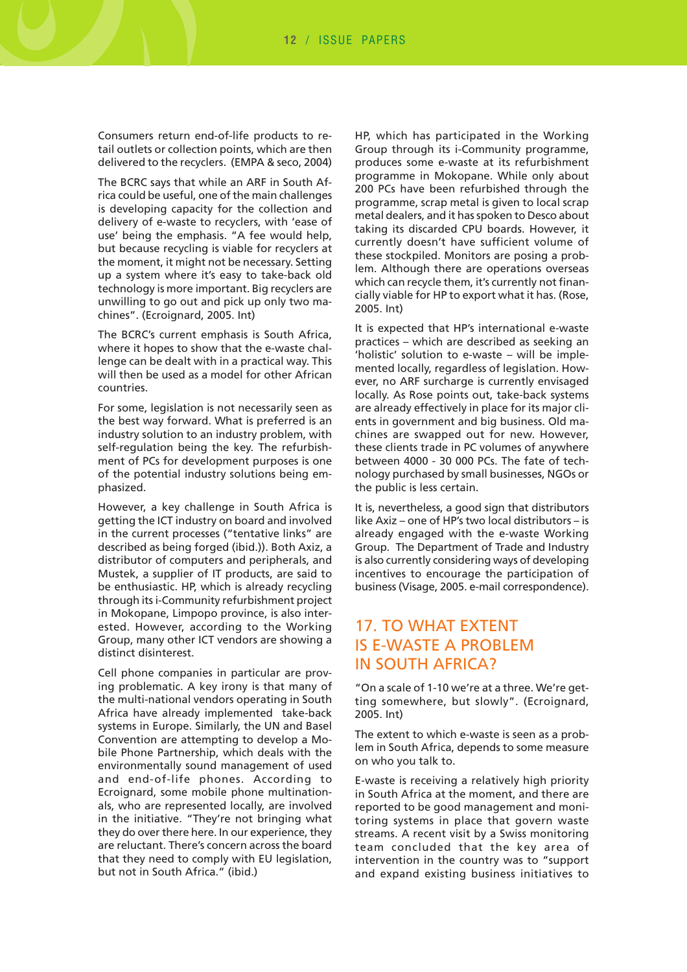Consumers return end-of-life products to retail outlets or collection points, which are then delivered to the recyclers. (EMPA & seco, 2004)

The BCRC says that while an ARF in South Africa could be useful, one of the main challenges is developing capacity for the collection and delivery of e-waste to recyclers, with 'ease of use' being the emphasis. "A fee would help, but because recycling is viable for recyclers at the moment, it might not be necessary. Setting up a system where it's easy to take-back old technology is more important. Big recyclers are unwilling to go out and pick up only two machines". (Ecroignard, 2005. Int)

The BCRC's current emphasis is South Africa, where it hopes to show that the e-waste challenge can be dealt with in a practical way. This will then be used as a model for other African countries.

For some, legislation is not necessarily seen as the best way forward. What is preferred is an industry solution to an industry problem, with self-regulation being the key. The refurbishment of PCs for development purposes is one of the potential industry solutions being emphasized.

However, a key challenge in South Africa is getting the ICT industry on board and involved in the current processes ("tentative links" are described as being forged (ibid.)). Both Axiz, a distributor of computers and peripherals, and Mustek, a supplier of IT products, are said to be enthusiastic. HP, which is already recycling through its i-Community refurbishment project in Mokopane, Limpopo province, is also interested. However, according to the Working Group, many other ICT vendors are showing a distinct disinterest.

Cell phone companies in particular are proving problematic. A key irony is that many of the multi-national vendors operating in South Africa have already implemented take-back systems in Europe. Similarly, the UN and Basel Convention are attempting to develop a Mobile Phone Partnership, which deals with the environmentally sound management of used and end-of-life phones. According to Ecroignard, some mobile phone multinationals, who are represented locally, are involved in the initiative. "They're not bringing what they do over there here. In our experience, they are reluctant. There's concern across the board that they need to comply with EU legislation, but not in South Africa." (ibid.)

HP, which has participated in the Working Group through its i-Community programme, produces some e-waste at its refurbishment programme in Mokopane. While only about 200 PCs have been refurbished through the programme, scrap metal is given to local scrap metal dealers, and it has spoken to Desco about taking its discarded CPU boards. However, it currently doesn't have sufficient volume of these stockpiled. Monitors are posing a problem. Although there are operations overseas which can recycle them, it's currently not financially viable for HP to export what it has. (Rose, 2005. Int)

It is expected that HP's international e-waste practices – which are described as seeking an 'holistic' solution to e-waste – will be implemented locally, regardless of legislation. However, no ARF surcharge is currently envisaged locally. As Rose points out, take-back systems are already effectively in place for its major clients in government and big business. Old machines are swapped out for new. However, these clients trade in PC volumes of anywhere between 4000 - 30 000 PCs. The fate of technology purchased by small businesses, NGOs or the public is less certain.

It is, nevertheless, a good sign that distributors like Axiz – one of HP's two local distributors – is already engaged with the e-waste Working Group. The Department of Trade and Industry is also currently considering ways of developing incentives to encourage the participation of business (Visage, 2005. e-mail correspondence).

# 17. TO WHAT EXTENT IS E-WASTE A PROBLEM IN SOUTH AFRICA?

"On a scale of 1-10 we're at a three. We're getting somewhere, but slowly". (Ecroignard, 2005. Int)

The extent to which e-waste is seen as a problem in South Africa, depends to some measure on who you talk to.

E-waste is receiving a relatively high priority in South Africa at the moment, and there are reported to be good management and monitoring systems in place that govern waste streams. A recent visit by a Swiss monitoring team concluded that the key area of intervention in the country was to "support and expand existing business initiatives to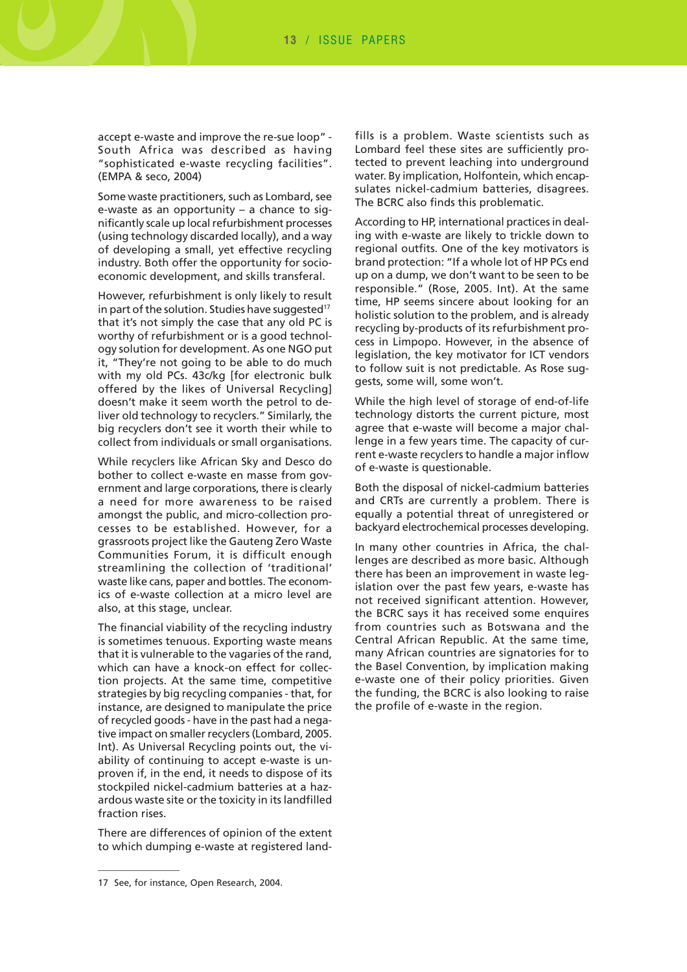accept e-waste and improve the re-sue loop" - South Africa was described as having "sophisticated e-waste recycling facilities". (EMPA & seco, 2004)

Some waste practitioners, such as Lombard, see e-waste as an opportunity – a chance to significantly scale up local refurbishment processes (using technology discarded locally), and a way of developing a small, yet effective recycling industry. Both offer the opportunity for socioeconomic development, and skills transferal.

However, refurbishment is only likely to result in part of the solution. Studies have suggested<sup>17</sup> that it's not simply the case that any old PC is worthy of refurbishment or is a good technology solution for development. As one NGO put it, "They're not going to be able to do much with my old PCs. 43c/kg [for electronic bulk offered by the likes of Universal Recycling] doesn't make it seem worth the petrol to deliver old technology to recyclers." Similarly, the big recyclers don't see it worth their while to collect from individuals or small organisations.

While recyclers like African Sky and Desco do bother to collect e-waste en masse from government and large corporations, there is clearly a need for more awareness to be raised amongst the public, and micro-collection processes to be established. However, for a grassroots project like the Gauteng Zero Waste Communities Forum, it is difficult enough streamlining the collection of 'traditional' waste like cans, paper and bottles. The economics of e-waste collection at a micro level are also, at this stage, unclear.

The financial viability of the recycling industry is sometimes tenuous. Exporting waste means that it is vulnerable to the vagaries of the rand, which can have a knock-on effect for collection projects. At the same time, competitive strategies by big recycling companies - that, for instance, are designed to manipulate the price of recycled goods - have in the past had a negative impact on smaller recyclers (Lombard, 2005. Int). As Universal Recycling points out, the viability of continuing to accept e-waste is unproven if, in the end, it needs to dispose of its stockpiled nickel-cadmium batteries at a hazardous waste site or the toxicity in its landfilled fraction rises.

There are differences of opinion of the extent to which dumping e-waste at registered landfills is a problem. Waste scientists such as Lombard feel these sites are sufficiently protected to prevent leaching into underground water. By implication, Holfontein, which encapsulates nickel-cadmium batteries, disagrees. The BCRC also finds this problematic.

According to HP, international practices in dealing with e-waste are likely to trickle down to regional outfits. One of the key motivators is brand protection: "If a whole lot of HP PCs end up on a dump, we don't want to be seen to be responsible." (Rose, 2005. Int). At the same time, HP seems sincere about looking for an holistic solution to the problem, and is already recycling by-products of its refurbishment process in Limpopo. However, in the absence of legislation, the key motivator for ICT vendors to follow suit is not predictable. As Rose suggests, some will, some won't.

While the high level of storage of end-of-life technology distorts the current picture, most agree that e-waste will become a major challenge in a few years time. The capacity of current e-waste recyclers to handle a major inflow of e-waste is questionable.

Both the disposal of nickel-cadmium batteries and CRTs are currently a problem. There is equally a potential threat of unregistered or backyard electrochemical processes developing.

In many other countries in Africa, the challenges are described as more basic. Although there has been an improvement in waste legislation over the past few years, e-waste has not received significant attention. However, the BCRC says it has received some enquires from countries such as Botswana and the Central African Republic. At the same time, many African countries are signatories for to the Basel Convention, by implication making e-waste one of their policy priorities. Given the funding, the BCRC is also looking to raise the profile of e-waste in the region.

<sup>17</sup> See, for instance, Open Research, 2004.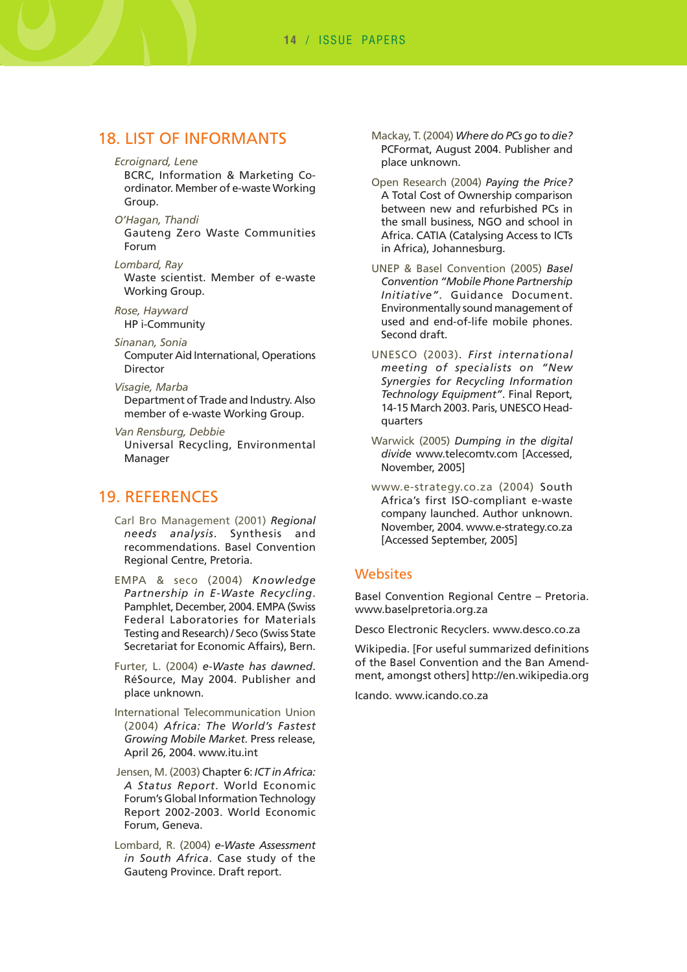**14** / ISSUE PAPERS

## 18. LIST OF INFORMANTS

*Ecroignard, Lene*

BCRC, Information & Marketing Coordinator. Member of e-waste Working Group.

*O'Hagan, Thandi* Gauteng Zero Waste Communities Forum

*Lombard, Ray* Waste scientist. Member of e-waste Working Group.

*Rose, Hayward* HP i-Community

*Sinanan, Sonia* Computer Aid International, Operations Director

*Visagie, Marba* Department of Trade and Industry. Also member of e-waste Working Group.

*Van Rensburg, Debbie* Universal Recycling, Environmental Manager

## 19. REFERENCES

Carl Bro Management (2001) *Regional needs analysis*. Synthesis and recommendations. Basel Convention Regional Centre, Pretoria.

EMPA & seco (2004) *Knowledge Partnership in E-Waste Recycling*. Pamphlet, December, 2004. EMPA (Swiss Federal Laboratories for Materials Testing and Research) / Seco (Swiss State Secretariat for Economic Affairs), Bern.

Furter, L. (2004) *e-Waste has dawned*. RéSource, May 2004. Publisher and place unknown.

International Telecommunication Union (2004) *Africa: The World's Fastest Growing Mobile Market*. Press release, April 26, 2004. www.itu.int

Jensen, M. (2003) Chapter 6: *ICT in Africa: A Status Report*. World Economic Forum's Global Information Technology Report 2002-2003. World Economic Forum, Geneva.

Lombard, R. (2004) *e-Waste Assessment in South Africa*. Case study of the Gauteng Province. Draft report.

- Mackay, T. (2004) *Where do PCs go to die?* PCFormat, August 2004. Publisher and place unknown.
- Open Research (2004) *Paying the Price?* A Total Cost of Ownership comparison between new and refurbished PCs in the small business, NGO and school in Africa. CATIA (Catalysing Access to ICTs in Africa), Johannesburg.
- UNEP & Basel Convention (2005) *Basel Convention "Mobile Phone Partnership Initiative"*. Guidance Document. Environmentally sound management of used and end-of-life mobile phones. Second draft.
- UNESCO (2003). *First international meeting of specialists on "New Synergies for Recycling Information Technology Equipment"*. Final Report, 14-15 March 2003. Paris, UNESCO Headquarters
- Warwick (2005) *Dumping in the digital divide* www.telecomtv.com [Accessed, November, 2005]
- www.e-strategy.co.za (2004) South Africa's first ISO-compliant e-waste company launched. Author unknown. November, 2004. www.e-strategy.co.za [Accessed September, 2005]

#### **Websites**

Basel Convention Regional Centre – Pretoria. www.baselpretoria.org.za

Desco Electronic Recyclers. www.desco.co.za

Wikipedia. [For useful summarized definitions of the Basel Convention and the Ban Amendment, amongst others] http://en.wikipedia.org

Icando. www.icando.co.za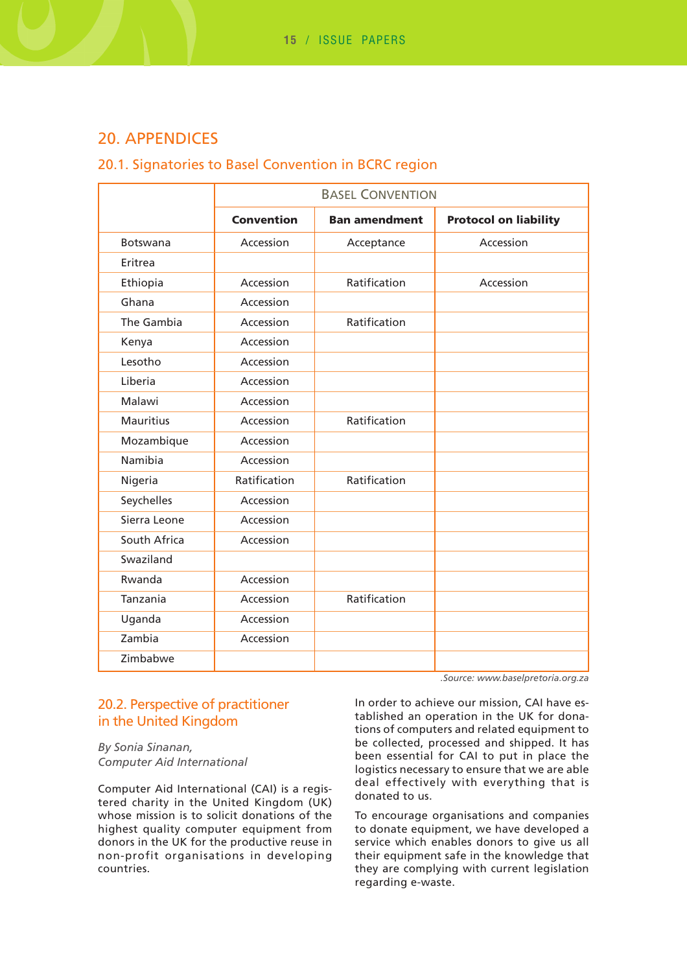# 20. APPENDICES

#### 20.1. Signatories to Basel Convention in BCRC region

|                  | <b>BASEL CONVENTION</b> |                      |                              |
|------------------|-------------------------|----------------------|------------------------------|
|                  | <b>Convention</b>       | <b>Ban amendment</b> | <b>Protocol on liability</b> |
| <b>Botswana</b>  | Accession               | Acceptance           | Accession                    |
| Eritrea          |                         |                      |                              |
| Ethiopia         | Accession               | Ratification         | Accession                    |
| Ghana            | Accession               |                      |                              |
| The Gambia       | Accession               | Ratification         |                              |
| Kenya            | Accession               |                      |                              |
| Lesotho          | Accession               |                      |                              |
| Liberia          | Accession               |                      |                              |
| Malawi           | Accession               |                      |                              |
| <b>Mauritius</b> | Accession               | Ratification         |                              |
| Mozambique       | Accession               |                      |                              |
| Namibia          | Accession               |                      |                              |
| Nigeria          | Ratification            | Ratification         |                              |
| Seychelles       | Accession               |                      |                              |
| Sierra Leone     | Accession               |                      |                              |
| South Africa     | Accession               |                      |                              |
| Swaziland        |                         |                      |                              |
| Rwanda           | Accession               |                      |                              |
| Tanzania         | Accession               | Ratification         |                              |
| Uganda           | Accession               |                      |                              |
| Zambia           | Accession               |                      |                              |
| Zimbabwe         |                         |                      |                              |

## 20.2. Perspective of practitioner in the United Kingdom

*By Sonia Sinanan, Computer Aid International*

Computer Aid International (CAI) is a registered charity in the United Kingdom (UK) whose mission is to solicit donations of the highest quality computer equipment from donors in the UK for the productive reuse in non-profit organisations in developing countries.

*.Source: www.baselpretoria.org.za*

In order to achieve our mission, CAI have established an operation in the UK for donations of computers and related equipment to be collected, processed and shipped. It has been essential for CAI to put in place the logistics necessary to ensure that we are able deal effectively with everything that is donated to us.

To encourage organisations and companies to donate equipment, we have developed a service which enables donors to give us all their equipment safe in the knowledge that they are complying with current legislation regarding e-waste.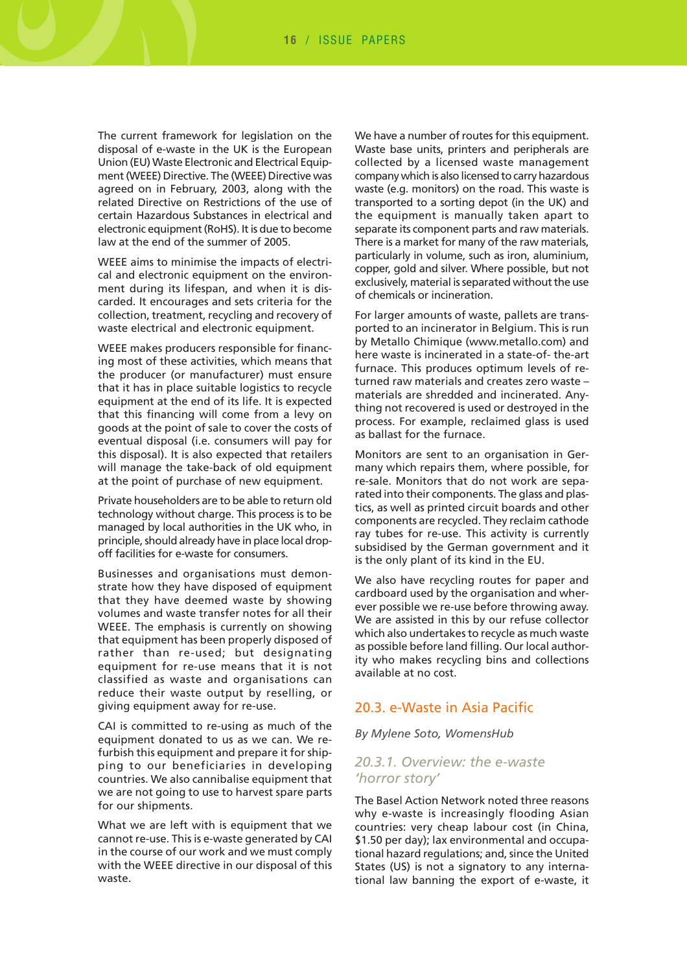**16** / ISSUE PAPERS

The current framework for legislation on the disposal of e-waste in the UK is the European Union (EU) Waste Electronic and Electrical Equipment (WEEE) Directive. The (WEEE) Directive was agreed on in February, 2003, along with the related Directive on Restrictions of the use of certain Hazardous Substances in electrical and electronic equipment (RoHS). It is due to become law at the end of the summer of 2005.

WEEE aims to minimise the impacts of electrical and electronic equipment on the environment during its lifespan, and when it is discarded. It encourages and sets criteria for the collection, treatment, recycling and recovery of waste electrical and electronic equipment.

WEEE makes producers responsible for financing most of these activities, which means that the producer (or manufacturer) must ensure that it has in place suitable logistics to recycle equipment at the end of its life. It is expected that this financing will come from a levy on goods at the point of sale to cover the costs of eventual disposal (i.e. consumers will pay for this disposal). It is also expected that retailers will manage the take-back of old equipment at the point of purchase of new equipment.

Private householders are to be able to return old technology without charge. This process is to be managed by local authorities in the UK who, in principle, should already have in place local dropoff facilities for e-waste for consumers.

Businesses and organisations must demonstrate how they have disposed of equipment that they have deemed waste by showing volumes and waste transfer notes for all their WEEE. The emphasis is currently on showing that equipment has been properly disposed of rather than re-used; but designating equipment for re-use means that it is not classified as waste and organisations can reduce their waste output by reselling, or giving equipment away for re-use.

CAI is committed to re-using as much of the equipment donated to us as we can. We refurbish this equipment and prepare it for shipping to our beneficiaries in developing countries. We also cannibalise equipment that we are not going to use to harvest spare parts for our shipments.

What we are left with is equipment that we cannot re-use. This is e-waste generated by CAI in the course of our work and we must comply with the WEEE directive in our disposal of this waste.

We have a number of routes for this equipment. Waste base units, printers and peripherals are collected by a licensed waste management company which is also licensed to carry hazardous waste (e.g. monitors) on the road. This waste is transported to a sorting depot (in the UK) and the equipment is manually taken apart to separate its component parts and raw materials. There is a market for many of the raw materials, particularly in volume, such as iron, aluminium, copper, gold and silver. Where possible, but not exclusively, material is separated without the use of chemicals or incineration.

For larger amounts of waste, pallets are transported to an incinerator in Belgium. This is run by Metallo Chimique (www.metallo.com) and here waste is incinerated in a state-of- the-art furnace. This produces optimum levels of returned raw materials and creates zero waste – materials are shredded and incinerated. Anything not recovered is used or destroyed in the process. For example, reclaimed glass is used as ballast for the furnace.

Monitors are sent to an organisation in Germany which repairs them, where possible, for re-sale. Monitors that do not work are separated into their components. The glass and plastics, as well as printed circuit boards and other components are recycled. They reclaim cathode ray tubes for re-use. This activity is currently subsidised by the German government and it is the only plant of its kind in the EU.

We also have recycling routes for paper and cardboard used by the organisation and wherever possible we re-use before throwing away. We are assisted in this by our refuse collector which also undertakes to recycle as much waste as possible before land filling. Our local authority who makes recycling bins and collections available at no cost.

#### 20.3. e-Waste in Asia Pacific

*By Mylene Soto, WomensHub*

#### *20.3.1. Overview: the e-waste 'horror story'*

The Basel Action Network noted three reasons why e-waste is increasingly flooding Asian countries: very cheap labour cost (in China, \$1.50 per day); lax environmental and occupational hazard regulations; and, since the United States (US) is not a signatory to any international law banning the export of e-waste, it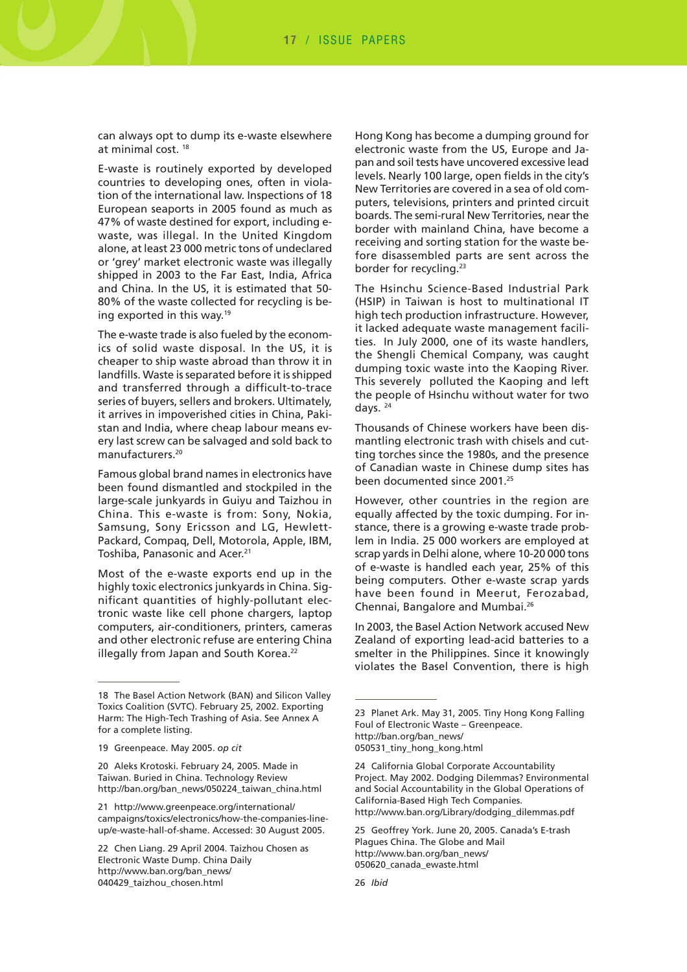**17** / ISSUE PAPERS

can always opt to dump its e-waste elsewhere at minimal cost. 18

E-waste is routinely exported by developed countries to developing ones, often in violation of the international law. Inspections of 18 European seaports in 2005 found as much as 47% of waste destined for export, including ewaste, was illegal. In the United Kingdom alone, at least 23 000 metric tons of undeclared or 'grey' market electronic waste was illegally shipped in 2003 to the Far East, India, Africa and China. In the US, it is estimated that 50- 80% of the waste collected for recycling is being exported in this way.19

The e-waste trade is also fueled by the economics of solid waste disposal. In the US, it is cheaper to ship waste abroad than throw it in landfills. Waste is separated before it is shipped and transferred through a difficult-to-trace series of buyers, sellers and brokers. Ultimately, it arrives in impoverished cities in China, Pakistan and India, where cheap labour means every last screw can be salvaged and sold back to manufacturers.20

Famous global brand names in electronics have been found dismantled and stockpiled in the large-scale junkyards in Guiyu and Taizhou in China. This e-waste is from: Sony, Nokia, Samsung, Sony Ericsson and LG, Hewlett-Packard, Compaq, Dell, Motorola, Apple, IBM, Toshiba, Panasonic and Acer.<sup>21</sup>

Most of the e-waste exports end up in the highly toxic electronics junkyards in China. Significant quantities of highly-pollutant electronic waste like cell phone chargers, laptop computers, air-conditioners, printers, cameras and other electronic refuse are entering China illegally from Japan and South Korea.<sup>22</sup>

Hong Kong has become a dumping ground for electronic waste from the US, Europe and Japan and soil tests have uncovered excessive lead levels. Nearly 100 large, open fields in the city's New Territories are covered in a sea of old computers, televisions, printers and printed circuit boards. The semi-rural New Territories, near the border with mainland China, have become a receiving and sorting station for the waste before disassembled parts are sent across the border for recycling.<sup>23</sup>

The Hsinchu Science-Based Industrial Park (HSIP) in Taiwan is host to multinational IT high tech production infrastructure. However, it lacked adequate waste management facilities. In July 2000, one of its waste handlers, the Shengli Chemical Company, was caught dumping toxic waste into the Kaoping River. This severely polluted the Kaoping and left the people of Hsinchu without water for two days. 24

Thousands of Chinese workers have been dismantling electronic trash with chisels and cutting torches since the 1980s, and the presence of Canadian waste in Chinese dump sites has been documented since 2001.<sup>25</sup>

However, other countries in the region are equally affected by the toxic dumping. For instance, there is a growing e-waste trade problem in India. 25 000 workers are employed at scrap yards in Delhi alone, where 10-20 000 tons of e-waste is handled each year, 25% of this being computers. Other e-waste scrap yards have been found in Meerut, Ferozabad, Chennai, Bangalore and Mumbai.26

In 2003, the Basel Action Network accused New Zealand of exporting lead-acid batteries to a smelter in the Philippines. Since it knowingly violates the Basel Convention, there is high

<sup>18</sup> The Basel Action Network (BAN) and Silicon Valley Toxics Coalition (SVTC). February 25, 2002. Exporting Harm: The High-Tech Trashing of Asia. See Annex A for a complete listing.

<sup>19</sup> Greenpeace. May 2005. *op cit*

<sup>20</sup> Aleks Krotoski. February 24, 2005. Made in Taiwan. Buried in China. Technology Review http://ban.org/ban\_news/050224\_taiwan\_china.html

<sup>21</sup> http://www.greenpeace.org/international/ campaigns/toxics/electronics/how-the-companies-lineup/e-waste-hall-of-shame. Accessed: 30 August 2005.

<sup>22</sup> Chen Liang. 29 April 2004. Taizhou Chosen as Electronic Waste Dump. China Daily http://www.ban.org/ban\_news/ 040429\_taizhou\_chosen.html

<sup>23</sup> Planet Ark. May 31, 2005. Tiny Hong Kong Falling Foul of Electronic Waste – Greenpeace. http://ban.org/ban\_news/ 050531\_tiny\_hong\_kong.html

<sup>24</sup> California Global Corporate Accountability Project. May 2002. Dodging Dilemmas? Environmental and Social Accountability in the Global Operations of California-Based High Tech Companies. http://www.ban.org/Library/dodging\_dilemmas.pdf

<sup>25</sup> Geoffrey York. June 20, 2005. Canada's E-trash Plagues China. The Globe and Mail http://www.ban.org/ban\_news/ 050620\_canada\_ewaste.html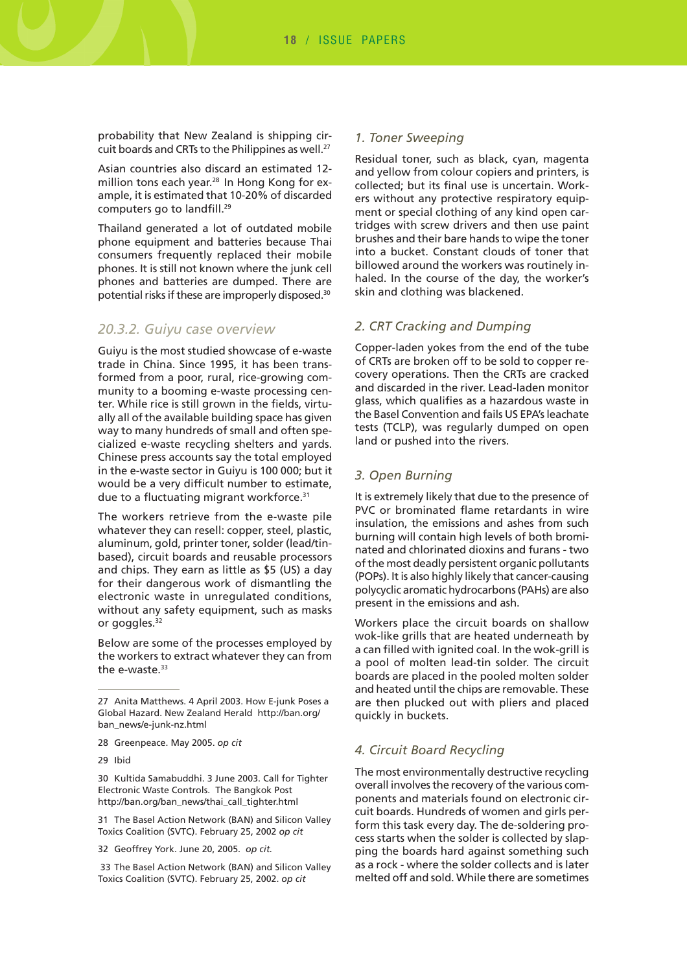probability that New Zealand is shipping circuit boards and CRTs to the Philippines as well.<sup>27</sup>

Asian countries also discard an estimated 12 million tons each year.<sup>28</sup> In Hong Kong for example, it is estimated that 10-20% of discarded computers go to landfill.29

Thailand generated a lot of outdated mobile phone equipment and batteries because Thai consumers frequently replaced their mobile phones. It is still not known where the junk cell phones and batteries are dumped. There are potential risks if these are improperly disposed.30

#### *20.3.2. Guiyu case overview*

Guiyu is the most studied showcase of e-waste trade in China. Since 1995, it has been transformed from a poor, rural, rice-growing community to a booming e-waste processing center. While rice is still grown in the fields, virtually all of the available building space has given way to many hundreds of small and often specialized e-waste recycling shelters and yards. Chinese press accounts say the total employed in the e-waste sector in Guiyu is 100 000; but it would be a very difficult number to estimate, due to a fluctuating migrant workforce.31

The workers retrieve from the e-waste pile whatever they can resell: copper, steel, plastic, aluminum, gold, printer toner, solder (lead/tinbased), circuit boards and reusable processors and chips. They earn as little as \$5 (US) a day for their dangerous work of dismantling the electronic waste in unregulated conditions, without any safety equipment, such as masks or goggles.<sup>32</sup>

Below are some of the processes employed by the workers to extract whatever they can from the e-waste.<sup>33</sup>

30 Kultida Samabuddhi. 3 June 2003. Call for Tighter Electronic Waste Controls. The Bangkok Post http://ban.org/ban\_news/thai\_call\_tighter.html

31 The Basel Action Network (BAN) and Silicon Valley Toxics Coalition (SVTC). February 25, 2002 *op cit*

#### *1. Toner Sweeping*

Residual toner, such as black, cyan, magenta and yellow from colour copiers and printers, is collected; but its final use is uncertain. Workers without any protective respiratory equipment or special clothing of any kind open cartridges with screw drivers and then use paint brushes and their bare hands to wipe the toner into a bucket. Constant clouds of toner that billowed around the workers was routinely inhaled. In the course of the day, the worker's skin and clothing was blackened.

#### *2. CRT Cracking and Dumping*

Copper-laden yokes from the end of the tube of CRTs are broken off to be sold to copper recovery operations. Then the CRTs are cracked and discarded in the river. Lead-laden monitor glass, which qualifies as a hazardous waste in the Basel Convention and fails US EPA's leachate tests (TCLP), was regularly dumped on open land or pushed into the rivers.

#### *3. Open Burning*

It is extremely likely that due to the presence of PVC or brominated flame retardants in wire insulation, the emissions and ashes from such burning will contain high levels of both brominated and chlorinated dioxins and furans - two of the most deadly persistent organic pollutants (POPs). It is also highly likely that cancer-causing polycyclic aromatic hydrocarbons (PAHs) are also present in the emissions and ash.

Workers place the circuit boards on shallow wok-like grills that are heated underneath by a can filled with ignited coal. In the wok-grill is a pool of molten lead-tin solder. The circuit boards are placed in the pooled molten solder and heated until the chips are removable. These are then plucked out with pliers and placed quickly in buckets.

#### *4. Circuit Board Recycling*

The most environmentally destructive recycling overall involves the recovery of the various components and materials found on electronic circuit boards. Hundreds of women and girls perform this task every day. The de-soldering process starts when the solder is collected by slapping the boards hard against something such as a rock - where the solder collects and is later melted off and sold. While there are sometimes

<sup>27</sup> Anita Matthews. 4 April 2003. How E-junk Poses a Global Hazard. New Zealand Herald http://ban.org/ ban\_news/e-junk-nz.html

<sup>28</sup> Greenpeace. May 2005. *op cit*

<sup>29</sup> Ibid

<sup>32</sup> Geoffrey York. June 20, 2005. *op cit.*

<sup>33</sup> The Basel Action Network (BAN) and Silicon Valley Toxics Coalition (SVTC). February 25, 2002. *op cit*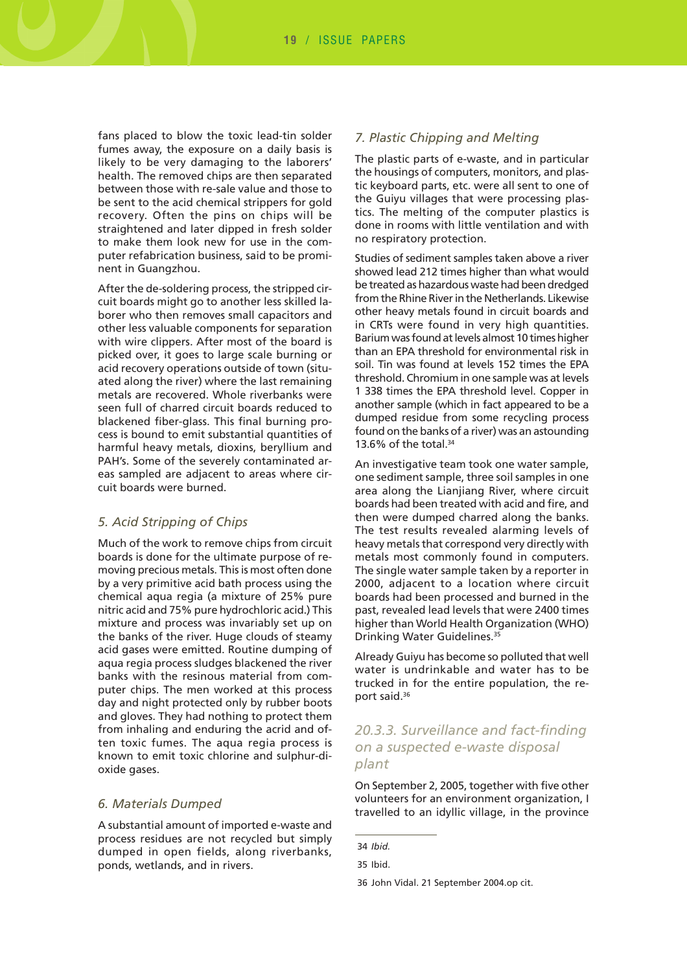fans placed to blow the toxic lead-tin solder fumes away, the exposure on a daily basis is likely to be very damaging to the laborers' health. The removed chips are then separated between those with re-sale value and those to be sent to the acid chemical strippers for gold recovery. Often the pins on chips will be straightened and later dipped in fresh solder to make them look new for use in the computer refabrication business, said to be prominent in Guangzhou.

After the de-soldering process, the stripped circuit boards might go to another less skilled laborer who then removes small capacitors and other less valuable components for separation with wire clippers. After most of the board is picked over, it goes to large scale burning or acid recovery operations outside of town (situated along the river) where the last remaining metals are recovered. Whole riverbanks were seen full of charred circuit boards reduced to blackened fiber-glass. This final burning process is bound to emit substantial quantities of harmful heavy metals, dioxins, beryllium and PAH's. Some of the severely contaminated areas sampled are adjacent to areas where circuit boards were burned.

#### *5. Acid Stripping of Chips*

Much of the work to remove chips from circuit boards is done for the ultimate purpose of removing precious metals. This is most often done by a very primitive acid bath process using the chemical aqua regia (a mixture of 25% pure nitric acid and 75% pure hydrochloric acid.) This mixture and process was invariably set up on the banks of the river. Huge clouds of steamy acid gases were emitted. Routine dumping of aqua regia process sludges blackened the river banks with the resinous material from computer chips. The men worked at this process day and night protected only by rubber boots and gloves. They had nothing to protect them from inhaling and enduring the acrid and often toxic fumes. The aqua regia process is known to emit toxic chlorine and sulphur-dioxide gases.

#### *6. Materials Dumped*

A substantial amount of imported e-waste and process residues are not recycled but simply dumped in open fields, along riverbanks, ponds, wetlands, and in rivers.

#### *7. Plastic Chipping and Melting*

The plastic parts of e-waste, and in particular the housings of computers, monitors, and plastic keyboard parts, etc. were all sent to one of the Guiyu villages that were processing plastics. The melting of the computer plastics is done in rooms with little ventilation and with no respiratory protection.

Studies of sediment samples taken above a river showed lead 212 times higher than what would be treated as hazardous waste had been dredged from the Rhine River in the Netherlands. Likewise other heavy metals found in circuit boards and in CRTs were found in very high quantities. Barium was found at levels almost 10 times higher than an EPA threshold for environmental risk in soil. Tin was found at levels 152 times the EPA threshold. Chromium in one sample was at levels 1 338 times the EPA threshold level. Copper in another sample (which in fact appeared to be a dumped residue from some recycling process found on the banks of a river) was an astounding 13.6% of the total. $34$ 

An investigative team took one water sample, one sediment sample, three soil samples in one area along the Lianjiang River, where circuit boards had been treated with acid and fire, and then were dumped charred along the banks. The test results revealed alarming levels of heavy metals that correspond very directly with metals most commonly found in computers. The single water sample taken by a reporter in 2000, adjacent to a location where circuit boards had been processed and burned in the past, revealed lead levels that were 2400 times higher than World Health Organization (WHO) Drinking Water Guidelines.35

Already Guiyu has become so polluted that well water is undrinkable and water has to be trucked in for the entire population, the report said.36

## *20.3.3. Surveillance and fact-finding on a suspected e-waste disposal plant*

On September 2, 2005, together with five other volunteers for an environment organization, I travelled to an idyllic village, in the province

<sup>34</sup> *Ibid.*

<sup>35</sup> Ibid.

<sup>36</sup> John Vidal. 21 September 2004.op cit.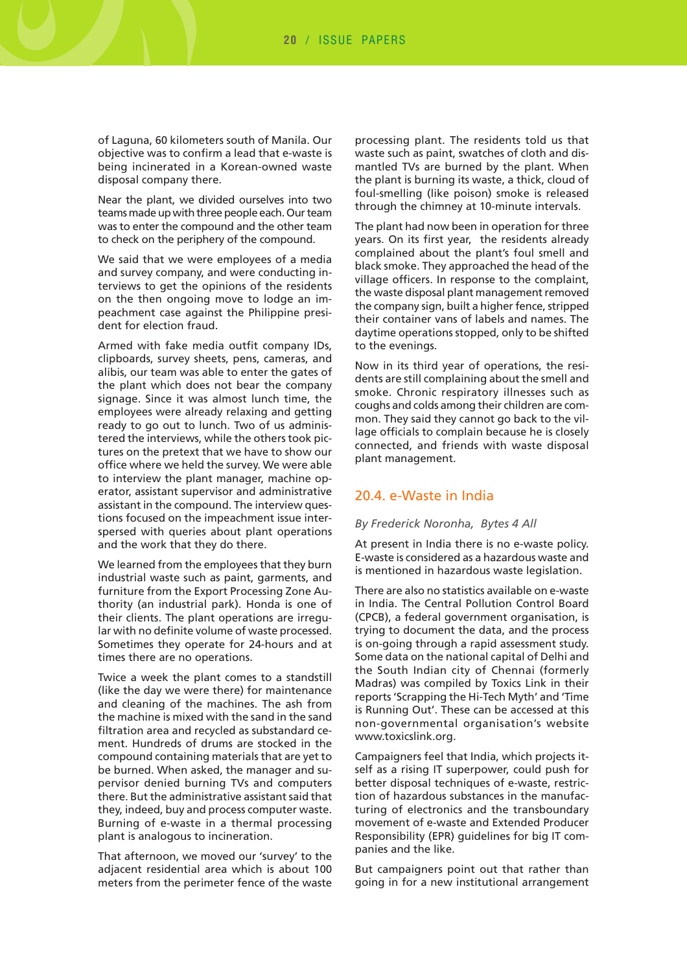of Laguna, 60 kilometers south of Manila. Our objective was to confirm a lead that e-waste is being incinerated in a Korean-owned waste disposal company there.

Near the plant, we divided ourselves into two teams made up with three people each. Our team was to enter the compound and the other team to check on the periphery of the compound.

We said that we were employees of a media and survey company, and were conducting interviews to get the opinions of the residents on the then ongoing move to lodge an impeachment case against the Philippine president for election fraud.

Armed with fake media outfit company IDs, clipboards, survey sheets, pens, cameras, and alibis, our team was able to enter the gates of the plant which does not bear the company signage. Since it was almost lunch time, the employees were already relaxing and getting ready to go out to lunch. Two of us administered the interviews, while the others took pictures on the pretext that we have to show our office where we held the survey. We were able to interview the plant manager, machine operator, assistant supervisor and administrative assistant in the compound. The interview questions focused on the impeachment issue interspersed with queries about plant operations and the work that they do there.

We learned from the employees that they burn industrial waste such as paint, garments, and furniture from the Export Processing Zone Authority (an industrial park). Honda is one of their clients. The plant operations are irregular with no definite volume of waste processed. Sometimes they operate for 24-hours and at times there are no operations.

Twice a week the plant comes to a standstill (like the day we were there) for maintenance and cleaning of the machines. The ash from the machine is mixed with the sand in the sand filtration area and recycled as substandard cement. Hundreds of drums are stocked in the compound containing materials that are yet to be burned. When asked, the manager and supervisor denied burning TVs and computers there. But the administrative assistant said that they, indeed, buy and process computer waste. Burning of e-waste in a thermal processing plant is analogous to incineration.

That afternoon, we moved our 'survey' to the adjacent residential area which is about 100 meters from the perimeter fence of the waste processing plant. The residents told us that waste such as paint, swatches of cloth and dismantled TVs are burned by the plant. When the plant is burning its waste, a thick, cloud of foul-smelling (like poison) smoke is released through the chimney at 10-minute intervals.

The plant had now been in operation for three years. On its first year, the residents already complained about the plant's foul smell and black smoke. They approached the head of the village officers. In response to the complaint, the waste disposal plant management removed the company sign, built a higher fence, stripped their container vans of labels and names. The daytime operations stopped, only to be shifted to the evenings.

Now in its third year of operations, the residents are still complaining about the smell and smoke. Chronic respiratory illnesses such as coughs and colds among their children are common. They said they cannot go back to the village officials to complain because he is closely connected, and friends with waste disposal plant management.

### 20.4. e-Waste in India

#### *By Frederick Noronha, Bytes 4 All*

At present in India there is no e-waste policy. E-waste is considered as a hazardous waste and is mentioned in hazardous waste legislation.

There are also no statistics available on e-waste in India. The Central Pollution Control Board (CPCB), a federal government organisation, is trying to document the data, and the process is on-going through a rapid assessment study. Some data on the national capital of Delhi and the South Indian city of Chennai (formerly Madras) was compiled by Toxics Link in their reports 'Scrapping the Hi-Tech Myth' and 'Time is Running Out'. These can be accessed at this non-governmental organisation's website www.toxicslink.org.

Campaigners feel that India, which projects itself as a rising IT superpower, could push for better disposal techniques of e-waste, restriction of hazardous substances in the manufacturing of electronics and the transboundary movement of e-waste and Extended Producer Responsibility (EPR) guidelines for big IT companies and the like.

But campaigners point out that rather than going in for a new institutional arrangement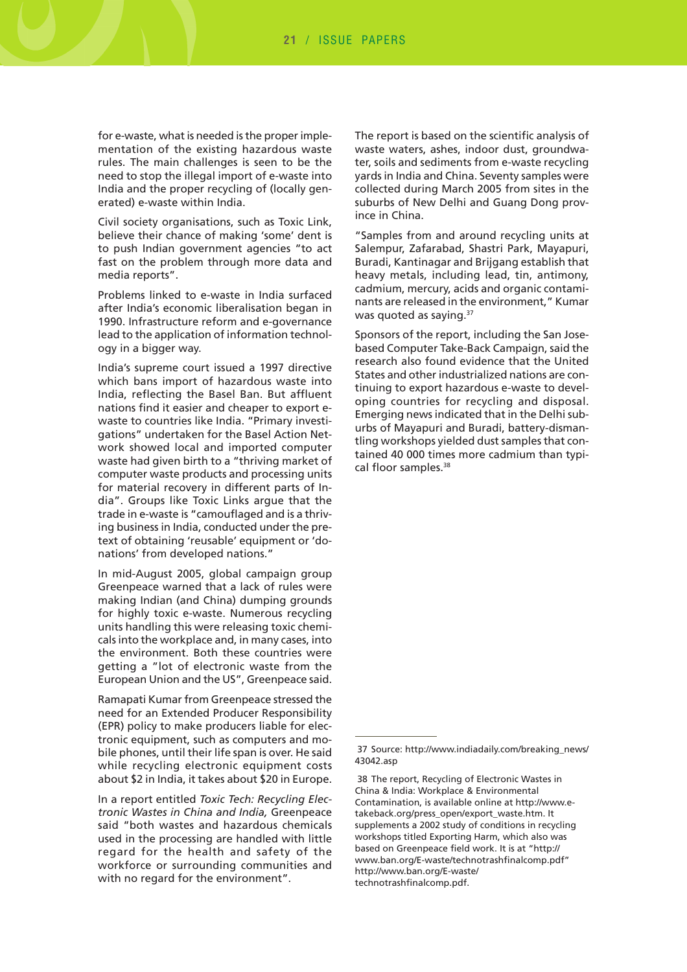for e-waste, what is needed is the proper implementation of the existing hazardous waste rules. The main challenges is seen to be the need to stop the illegal import of e-waste into India and the proper recycling of (locally generated) e-waste within India.

Civil society organisations, such as Toxic Link, believe their chance of making 'some' dent is to push Indian government agencies "to act fast on the problem through more data and media reports".

Problems linked to e-waste in India surfaced after India's economic liberalisation began in 1990. Infrastructure reform and e-governance lead to the application of information technology in a bigger way.

India's supreme court issued a 1997 directive which bans import of hazardous waste into India, reflecting the Basel Ban. But affluent nations find it easier and cheaper to export ewaste to countries like India. "Primary investigations" undertaken for the Basel Action Network showed local and imported computer waste had given birth to a "thriving market of computer waste products and processing units for material recovery in different parts of India". Groups like Toxic Links argue that the trade in e-waste is "camouflaged and is a thriving business in India, conducted under the pretext of obtaining 'reusable' equipment or 'donations' from developed nations."

In mid-August 2005, global campaign group Greenpeace warned that a lack of rules were making Indian (and China) dumping grounds for highly toxic e-waste. Numerous recycling units handling this were releasing toxic chemicals into the workplace and, in many cases, into the environment. Both these countries were getting a "lot of electronic waste from the European Union and the US", Greenpeace said.

Ramapati Kumar from Greenpeace stressed the need for an Extended Producer Responsibility (EPR) policy to make producers liable for electronic equipment, such as computers and mobile phones, until their life span is over. He said while recycling electronic equipment costs about \$2 in India, it takes about \$20 in Europe.

In a report entitled *Toxic Tech: Recycling Electronic Wastes in China and India,* Greenpeace said "both wastes and hazardous chemicals used in the processing are handled with little regard for the health and safety of the workforce or surrounding communities and with no regard for the environment".

The report is based on the scientific analysis of waste waters, ashes, indoor dust, groundwater, soils and sediments from e-waste recycling yards in India and China. Seventy samples were collected during March 2005 from sites in the suburbs of New Delhi and Guang Dong province in China.

"Samples from and around recycling units at Salempur, Zafarabad, Shastri Park, Mayapuri, Buradi, Kantinagar and Brijgang establish that heavy metals, including lead, tin, antimony, cadmium, mercury, acids and organic contaminants are released in the environment," Kumar was quoted as saying.<sup>37</sup>

Sponsors of the report, including the San Josebased Computer Take-Back Campaign, said the research also found evidence that the United States and other industrialized nations are continuing to export hazardous e-waste to developing countries for recycling and disposal. Emerging news indicated that in the Delhi suburbs of Mayapuri and Buradi, battery-dismantling workshops yielded dust samples that contained 40 000 times more cadmium than typical floor samples.<sup>38</sup>

<sup>37</sup> Source: http://www.indiadaily.com/breaking\_news/ 43042.asp

<sup>38</sup> The report, Recycling of Electronic Wastes in China & India: Workplace & Environmental Contamination, is available online at http://www.etakeback.org/press\_open/export\_waste.htm. It supplements a 2002 study of conditions in recycling workshops titled Exporting Harm, which also was based on Greenpeace field work. It is at "http:// www.ban.org/E-waste/technotrashfinalcomp.pdf" http://www.ban.org/E-waste/ technotrashfinalcomp.pdf.